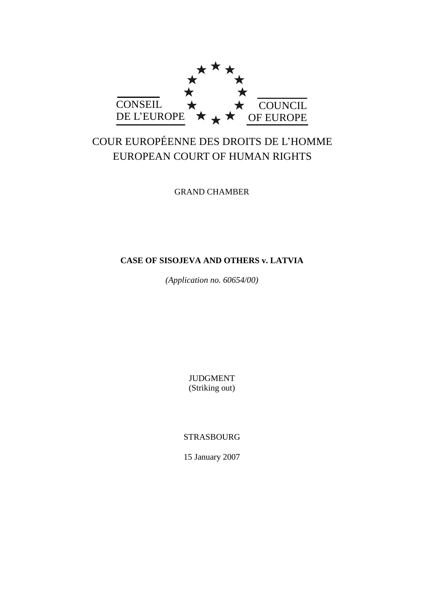

# COUR EUROPÉENNE DES DROITS DE L"HOMME EUROPEAN COURT OF HUMAN RIGHTS

GRAND CHAMBER

## **CASE OF SISOJEVA AND OTHERS v. LATVIA**

*(Application no. 60654/00)*

JUDGMENT (Striking out)

STRASBOURG

15 January 2007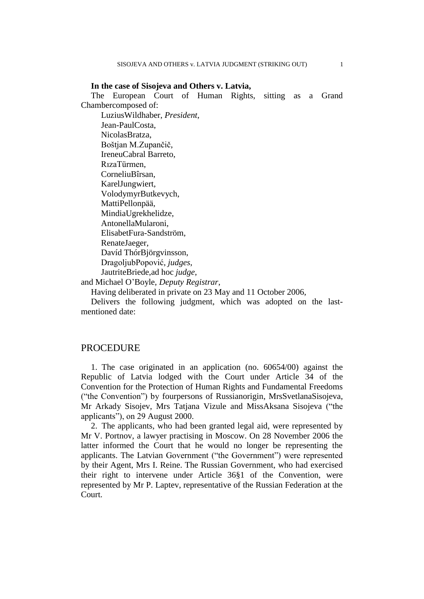**In the case of Sisojeva and Others v. Latvia,** The European Court of Human Rights, sitting as a Grand Chambercomposed of: LuziusWildhaber, *President*, Jean-PaulCosta, NicolasBratza, Boštjan M.Zupančič, IreneuCabral Barreto, RızaTürmen, CorneliuBîrsan, KarelJungwiert, VolodymyrButkevych, MattiPellonpää, MindiaUgrekhelidze, AntonellaMularoni, ElisabetFura-Sandström, RenateJaeger,

Davíd ThórBjörgvinsson, DragoljubPopović, *judges*,

JautriteBriede,ad hoc *judge*,

and Michael O"Boyle, *Deputy Registrar*,

Having deliberated in private on 23 May and 11 October 2006,

Delivers the following judgment, which was adopted on the lastmentioned date:

### **PROCEDURE**

1. The case originated in an application (no. 60654/00) against the Republic of Latvia lodged with the Court under Article 34 of the Convention for the Protection of Human Rights and Fundamental Freedoms ("the Convention") by fourpersons of Russianorigin, MrsSvetlanaSisojeva, Mr Arkady Sisojev, Mrs Tatjana Vizule and MissAksana Sisojeva ("the applicants"), on 29 August 2000.

2. The applicants, who had been granted legal aid, were represented by Mr V. Portnov, a lawyer practising in Moscow. On 28 November 2006 the latter informed the Court that he would no longer be representing the applicants. The Latvian Government ("the Government") were represented by their Agent, Mrs I. Reine. The Russian Government, who had exercised their right to intervene under Article 36§1 of the Convention, were represented by Mr P. Laptev, representative of the Russian Federation at the Court.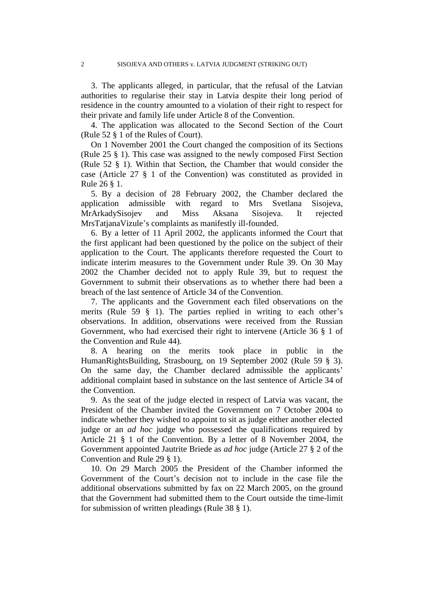3. The applicants alleged, in particular, that the refusal of the Latvian authorities to regularise their stay in Latvia despite their long period of residence in the country amounted to a violation of their right to respect for their private and family life under Article 8 of the Convention.

4. The application was allocated to the Second Section of the Court (Rule 52 § 1 of the Rules of Court).

On 1 November 2001 the Court changed the composition of its Sections (Rule 25 § 1). This case was assigned to the newly composed First Section (Rule 52 § 1). Within that Section, the Chamber that would consider the case (Article 27 § 1 of the Convention) was constituted as provided in Rule 26 § 1.

5. By a decision of 28 February 2002, the Chamber declared the application admissible with regard to Mrs Svetlana Sisojeva, MrArkadySisojev and Miss Aksana Sisojeva. It rejected MrsTatjanaVizule's complaints as manifestly ill-founded.

6. By a letter of 11 April 2002, the applicants informed the Court that the first applicant had been questioned by the police on the subject of their application to the Court. The applicants therefore requested the Court to indicate interim measures to the Government under Rule 39. On 30 May 2002 the Chamber decided not to apply Rule 39, but to request the Government to submit their observations as to whether there had been a breach of the last sentence of Article 34 of the Convention.

7. The applicants and the Government each filed observations on the merits (Rule 59  $\S$  1). The parties replied in writing to each other's observations. In addition, observations were received from the Russian Government, who had exercised their right to intervene (Article 36 § 1 of the Convention and Rule 44).

8. A hearing on the merits took place in public in the HumanRightsBuilding, Strasbourg, on 19 September 2002 (Rule 59 § 3). On the same day, the Chamber declared admissible the applicants' additional complaint based in substance on the last sentence of Article 34 of the Convention.

9. As the seat of the judge elected in respect of Latvia was vacant, the President of the Chamber invited the Government on 7 October 2004 to indicate whether they wished to appoint to sit as judge either another elected judge or an *ad hoc* judge who possessed the qualifications required by Article 21 § 1 of the Convention. By a letter of 8 November 2004, the Government appointed Jautrite Briede as *ad hoc* judge (Article 27 § 2 of the Convention and Rule 29 § 1).

10. On 29 March 2005 the President of the Chamber informed the Government of the Court's decision not to include in the case file the additional observations submitted by fax on 22 March 2005, on the ground that the Government had submitted them to the Court outside the time-limit for submission of written pleadings (Rule 38 § 1).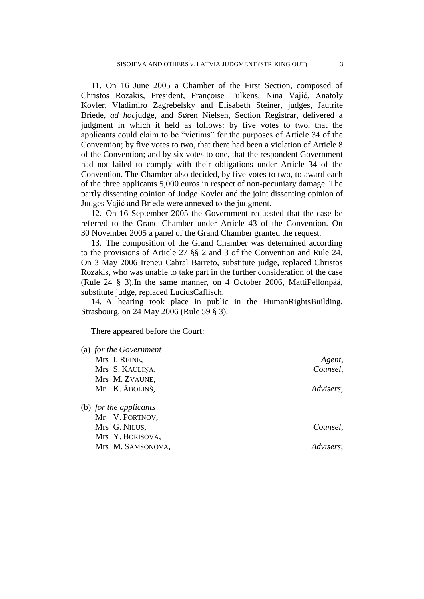11. On 16 June 2005 a Chamber of the First Section, composed of Christos Rozakis, President, Françoise Tulkens, Nina Vajić, Anatoly Kovler, Vladimiro Zagrebelsky and Elisabeth Steiner, judges, Jautrite Briede, *ad hoc*judge, and Søren Nielsen, Section Registrar, delivered a judgment in which it held as follows: by five votes to two, that the applicants could claim to be "victims" for the purposes of Article 34 of the Convention; by five votes to two, that there had been a violation of Article 8 of the Convention; and by six votes to one, that the respondent Government had not failed to comply with their obligations under Article 34 of the Convention. The Chamber also decided, by five votes to two, to award each of the three applicants 5,000 euros in respect of non-pecuniary damage. The partly dissenting opinion of Judge Kovler and the joint dissenting opinion of Judges Vajić and Briede were annexed to the judgment.

12. On 16 September 2005 the Government requested that the case be referred to the Grand Chamber under Article 43 of the Convention. On 30 November 2005 a panel of the Grand Chamber granted the request.

13. The composition of the Grand Chamber was determined according to the provisions of Article 27 §§ 2 and 3 of the Convention and Rule 24. On 3 May 2006 Ireneu Cabral Barreto, substitute judge, replaced Christos Rozakis, who was unable to take part in the further consideration of the case (Rule 24 § 3).In the same manner, on 4 October 2006, MattiPellonpää, substitute judge, replaced LuciusCaflisch.

14. A hearing took place in public in the HumanRightsBuilding, Strasbourg, on 24 May 2006 (Rule 59 § 3).

There appeared before the Court:

| (a) for the Government |           |
|------------------------|-----------|
| Mrs I. REINE,          | Agent,    |
| Mrs S. KAULINA,        | Counsel,  |
| Mrs M. ZVAUNE,         |           |
| Mr K. ĀBOLIŅŠ,         | Advisers; |
| (b) for the applicants |           |
| Mr V. PORTNOV,         |           |
| Mrs G. NILUS,          | Counsel,  |
| Mrs Y. BORISOVA,       |           |
| Mrs M. SAMSONOVA,      | Advisers; |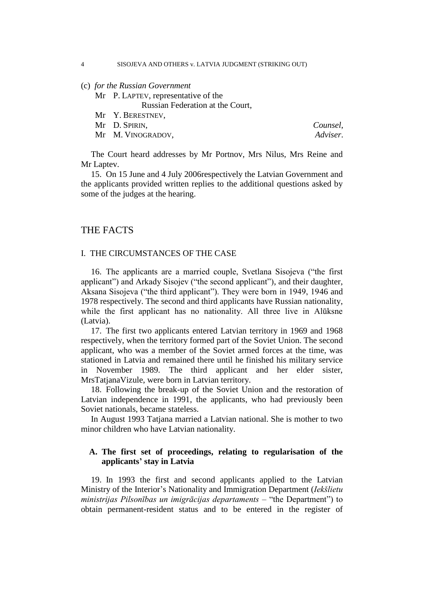(c) *for the Russian Government*

Mr P. LAPTEV, representative of the

Russian Federation at the Court,

Mr Y. BERESTNEV,

Mr D. SPIRIN, *Counsel*,

Mr M. VINOGRADOV, *Adviser*.

The Court heard addresses by Mr Portnov, Mrs Nilus, Mrs Reine and Mr Laptev.

15. On 15 June and 4 July 2006respectively the Latvian Government and the applicants provided written replies to the additional questions asked by some of the judges at the hearing.

## THE FACTS

### I. THE CIRCUMSTANCES OF THE CASE

16. The applicants are a married couple, Svetlana Sisojeva ("the first applicant") and Arkady Sisojev ("the second applicant"), and their daughter, Aksana Sisojeva ("the third applicant"). They were born in 1949, 1946 and 1978 respectively. The second and third applicants have Russian nationality, while the first applicant has no nationality. All three live in Alūksne (Latvia).

17. The first two applicants entered Latvian territory in 1969 and 1968 respectively, when the territory formed part of the Soviet Union. The second applicant, who was a member of the Soviet armed forces at the time, was stationed in Latvia and remained there until he finished his military service in November 1989. The third applicant and her elder sister, MrsTatjanaVizule, were born in Latvian territory.

18. Following the break-up of the Soviet Union and the restoration of Latvian independence in 1991, the applicants, who had previously been Soviet nationals, became stateless.

In August 1993 Tatjana married a Latvian national. She is mother to two minor children who have Latvian nationality.

### **A. The first set of proceedings, relating to regularisation of the applicants' stay in Latvia**

19. In 1993 the first and second applicants applied to the Latvian Ministry of the Interior"s Nationality and Immigration Department (*Iekšlietu ministrijas Pilsonības un imigrācijas departaments* – "the Department") to obtain permanent-resident status and to be entered in the register of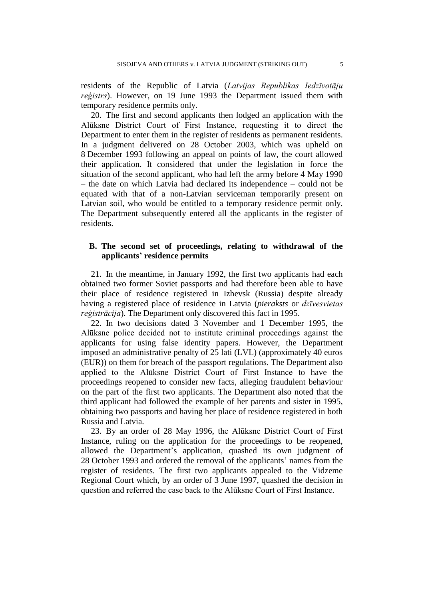residents of the Republic of Latvia (*Latvijas Republikas Iedzīvotāju reģistrs*). However, on 19 June 1993 the Department issued them with temporary residence permits only.

20. The first and second applicants then lodged an application with the Alūksne District Court of First Instance, requesting it to direct the Department to enter them in the register of residents as permanent residents. In a judgment delivered on 28 October 2003, which was upheld on 8 December 1993 following an appeal on points of law, the court allowed their application. It considered that under the legislation in force the situation of the second applicant, who had left the army before 4 May 1990 – the date on which Latvia had declared its independence – could not be equated with that of a non-Latvian serviceman temporarily present on Latvian soil, who would be entitled to a temporary residence permit only. The Department subsequently entered all the applicants in the register of residents.

### **B. The second set of proceedings, relating to withdrawal of the applicants' residence permits**

21. In the meantime, in January 1992, the first two applicants had each obtained two former Soviet passports and had therefore been able to have their place of residence registered in Izhevsk (Russia) despite already having a registered place of residence in Latvia (*pieraksts* or *dzīvesvietas reģistrācija*). The Department only discovered this fact in 1995.

22. In two decisions dated 3 November and 1 December 1995, the Alūksne police decided not to institute criminal proceedings against the applicants for using false identity papers. However, the Department imposed an administrative penalty of 25 lati (LVL) (approximately 40 euros (EUR)) on them for breach of the passport regulations. The Department also applied to the Alūksne District Court of First Instance to have the proceedings reopened to consider new facts, alleging fraudulent behaviour on the part of the first two applicants. The Department also noted that the third applicant had followed the example of her parents and sister in 1995, obtaining two passports and having her place of residence registered in both Russia and Latvia.

23. By an order of 28 May 1996, the Alūksne District Court of First Instance, ruling on the application for the proceedings to be reopened, allowed the Department"s application, quashed its own judgment of 28 October 1993 and ordered the removal of the applicants" names from the register of residents. The first two applicants appealed to the Vidzeme Regional Court which, by an order of 3 June 1997, quashed the decision in question and referred the case back to the Alūksne Court of First Instance.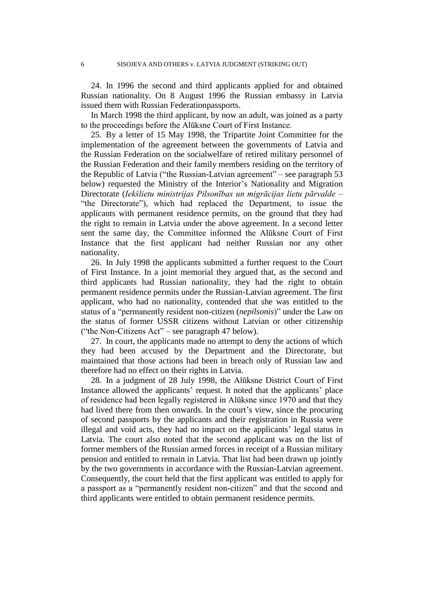24. In 1996 the second and third applicants applied for and obtained Russian nationality. On 8 August 1996 the Russian embassy in Latvia issued them with Russian Federationpassports.

In March 1998 the third applicant, by now an adult, was joined as a party to the proceedings before the Alūksne Court of First Instance.

25. By a letter of 15 May 1998, the Tripartite Joint Committee for the implementation of the agreement between the governments of Latvia and the Russian Federation on the socialwelfare of retired military personnel of the Russian Federation and their family members residing on the territory of the Republic of Latvia ("the Russian-Latvian agreement" – see paragraph 53 below) requested the Ministry of the Interior's Nationality and Migration Directorate (*Iekšlietu ministrijas Pilsonības un migrācijas lietu pārvalde* – "the Directorate"), which had replaced the Department, to issue the applicants with permanent residence permits, on the ground that they had the right to remain in Latvia under the above agreement. In a second letter sent the same day, the Committee informed the Alūksne Court of First Instance that the first applicant had neither Russian nor any other nationality.

26. In July 1998 the applicants submitted a further request to the Court of First Instance. In a joint memorial they argued that, as the second and third applicants had Russian nationality, they had the right to obtain permanent residence permits under the Russian-Latvian agreement. The first applicant, who had no nationality, contended that she was entitled to the status of a "permanently resident non-citizen (*nepilsonis*)" under the Law on the status of former USSR citizens without Latvian or other citizenship ("the Non-Citizens Act" – see paragraph 47 below).

27. In court, the applicants made no attempt to deny the actions of which they had been accused by the Department and the Directorate, but maintained that those actions had been in breach only of Russian law and therefore had no effect on their rights in Latvia.

28. In a judgment of 28 July 1998, the Alūksne District Court of First Instance allowed the applicants' request. It noted that the applicants' place of residence had been legally registered in Alūksne since 1970 and that they had lived there from then onwards. In the court's view, since the procuring of second passports by the applicants and their registration in Russia were illegal and void acts, they had no impact on the applicants' legal status in Latvia. The court also noted that the second applicant was on the list of former members of the Russian armed forces in receipt of a Russian military pension and entitled to remain in Latvia. That list had been drawn up jointly by the two governments in accordance with the Russian-Latvian agreement. Consequently, the court held that the first applicant was entitled to apply for a passport as a "permanently resident non-citizen" and that the second and third applicants were entitled to obtain permanent residence permits.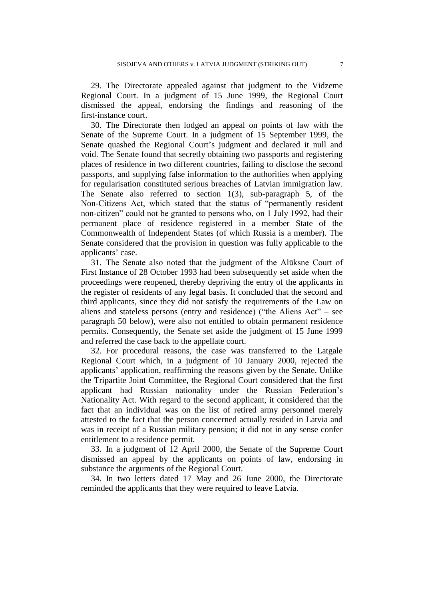29. The Directorate appealed against that judgment to the Vidzeme Regional Court. In a judgment of 15 June 1999, the Regional Court dismissed the appeal, endorsing the findings and reasoning of the first-instance court.

30. The Directorate then lodged an appeal on points of law with the Senate of the Supreme Court. In a judgment of 15 September 1999, the Senate quashed the Regional Court's judgment and declared it null and void. The Senate found that secretly obtaining two passports and registering places of residence in two different countries, failing to disclose the second passports, and supplying false information to the authorities when applying for regularisation constituted serious breaches of Latvian immigration law. The Senate also referred to section 1(3), sub-paragraph 5, of the Non-Citizens Act, which stated that the status of "permanently resident non-citizen" could not be granted to persons who, on 1 July 1992, had their permanent place of residence registered in a member State of the Commonwealth of Independent States (of which Russia is a member). The Senate considered that the provision in question was fully applicable to the applicants' case.

31. The Senate also noted that the judgment of the Alūksne Court of First Instance of 28 October 1993 had been subsequently set aside when the proceedings were reopened, thereby depriving the entry of the applicants in the register of residents of any legal basis. It concluded that the second and third applicants, since they did not satisfy the requirements of the Law on aliens and stateless persons (entry and residence) ("the Aliens Act" – see paragraph 50 below), were also not entitled to obtain permanent residence permits. Consequently, the Senate set aside the judgment of 15 June 1999 and referred the case back to the appellate court.

32. For procedural reasons, the case was transferred to the Latgale Regional Court which, in a judgment of 10 January 2000, rejected the applicants" application, reaffirming the reasons given by the Senate. Unlike the Tripartite Joint Committee, the Regional Court considered that the first applicant had Russian nationality under the Russian Federation"s Nationality Act. With regard to the second applicant, it considered that the fact that an individual was on the list of retired army personnel merely attested to the fact that the person concerned actually resided in Latvia and was in receipt of a Russian military pension; it did not in any sense confer entitlement to a residence permit.

33. In a judgment of 12 April 2000, the Senate of the Supreme Court dismissed an appeal by the applicants on points of law, endorsing in substance the arguments of the Regional Court.

34. In two letters dated 17 May and 26 June 2000, the Directorate reminded the applicants that they were required to leave Latvia.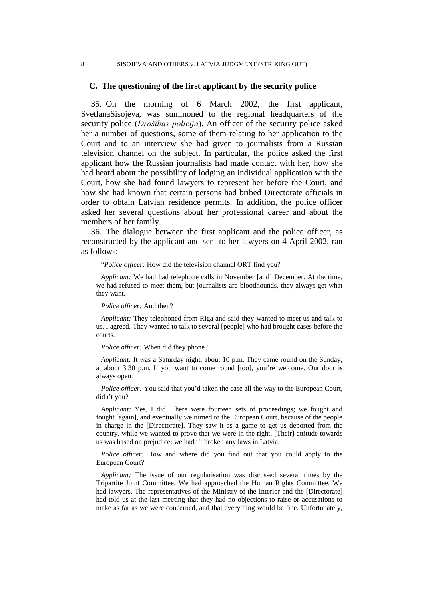#### 8 SISOJEVA AND OTHERS v. LATVIA JUDGMENT (STRIKING OUT)

### **C. The questioning of the first applicant by the security police**

35. On the morning of 6 March 2002, the first applicant, SvetlanaSisojeva, was summoned to the regional headquarters of the security police (*Drošības policija*). An officer of the security police asked her a number of questions, some of them relating to her application to the Court and to an interview she had given to journalists from a Russian television channel on the subject. In particular, the police asked the first applicant how the Russian journalists had made contact with her, how she had heard about the possibility of lodging an individual application with the Court, how she had found lawyers to represent her before the Court, and how she had known that certain persons had bribed Directorate officials in order to obtain Latvian residence permits. In addition, the police officer asked her several questions about her professional career and about the members of her family.

36. The dialogue between the first applicant and the police officer, as reconstructed by the applicant and sent to her lawyers on 4 April 2002, ran as follows:

"*Police officer:* How did the television channel ORT find you?

*Applicant:* We had had telephone calls in November [and] December. At the time, we had refused to meet them, but journalists are bloodhounds, they always get what they want.

*Police officer:* And then?

*Applicant:* They telephoned from Riga and said they wanted to meet us and talk to us. I agreed. They wanted to talk to several [people] who had brought cases before the courts.

*Police officer:* When did they phone?

*Applicant:* It was a Saturday night, about 10 p.m. They came round on the Sunday, at about 3.30 p.m. If you want to come round [too], you"re welcome. Our door is always open.

*Police officer:* You said that you'd taken the case all the way to the European Court, didn"t you?

*Applicant:* Yes, I did. There were fourteen sets of proceedings; we fought and fought [again], and eventually we turned to the European Court, because of the people in charge in the [Directorate]. They saw it as a game to get us deported from the country, while we wanted to prove that we were in the right. [Their] attitude towards us was based on prejudice: we hadn"t broken any laws in Latvia.

*Police officer:* How and where did you find out that you could apply to the European Court?

*Applicant:* The issue of our regularisation was discussed several times by the Tripartite Joint Committee. We had approached the Human Rights Committee. We had lawyers. The representatives of the Ministry of the Interior and the [Directorate] had told us at the last meeting that they had no objections to raise or accusations to make as far as we were concerned, and that everything would be fine. Unfortunately,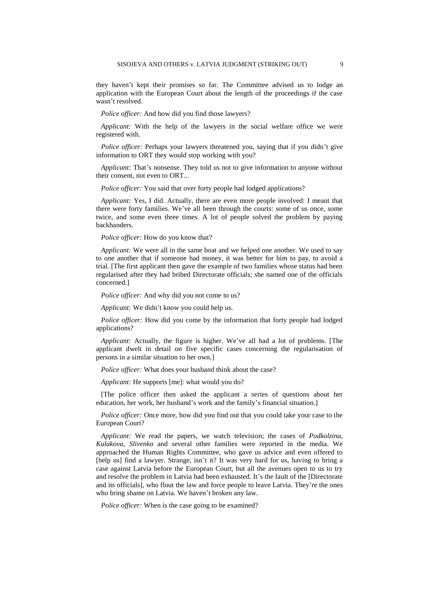they haven"t kept their promises so far. The Committee advised us to lodge an application with the European Court about the length of the proceedings if the case wasn"t resolved.

*Police officer:* And how did you find those lawyers?

*Applicant:* With the help of the lawyers in the social welfare office we were registered with.

*Police officer:* Perhaps your lawyers threatened you, saying that if you didn't give information to ORT they would stop working with you?

*Applicant:* That's nonsense. They told us not to give information to anyone without their consent, not even to ORT...

*Police officer:* You said that over forty people had lodged applications?

*Applicant:* Yes, I did. Actually, there are even more people involved: I meant that there were forty families. We"ve all been through the courts: some of us once, some twice, and some even three times. A lot of people solved the problem by paying backhanders.

*Police officer:* How do you know that?

*Applicant:* We were all in the same boat and we helped one another. We used to say to one another that if someone had money, it was better for him to pay, to avoid a trial. [The first applicant then gave the example of two families whose status had been regularised after they had bribed Directorate officials; she named one of the officials concerned.]

*Police officer:* And why did you not come to us?

*Applicant:* We didn"t know you could help us.

*Police officer:* How did you come by the information that forty people had lodged applications?

*Applicant:* Actually, the figure is higher. We"ve all had a lot of problems. [The applicant dwelt in detail on five specific cases concerning the regularisation of persons in a similar situation to her own.]

*Police officer:* What does your husband think about the case?

*Applicant:* He supports [me]: what would you do?

[The police officer then asked the applicant a series of questions about her education, her work, her husband"s work and the family"s financial situation.]

*Police officer:* Once more, how did you find out that you could take your case to the European Court?

*Applicant:* We read the papers, we watch television; the cases of *Podkolzina*, *Kulakova*, *Slivenko* and several other families were reported in the media. We approached the Human Rights Committee, who gave us advice and even offered to [help us] find a lawyer. Strange, isn't it? It was very hard for us, having to bring a case against Latvia before the European Court, but all the avenues open to us to try and resolve the problem in Latvia had been exhausted. It's the fault of the [Directorate and its officials], who flout the law and force people to leave Latvia. They"re the ones who bring shame on Latvia. We haven"t broken any law.

*Police officer:* When is the case going to be examined?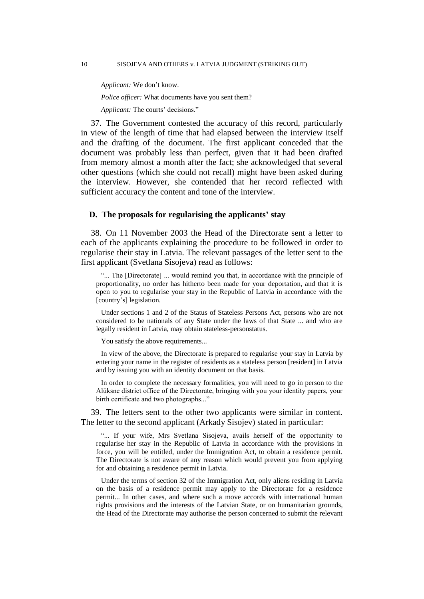*Applicant:* We don"t know.

*Police officer:* What documents have you sent them?

*Applicant:* The courts' decisions."

37. The Government contested the accuracy of this record, particularly in view of the length of time that had elapsed between the interview itself and the drafting of the document. The first applicant conceded that the document was probably less than perfect, given that it had been drafted from memory almost a month after the fact; she acknowledged that several other questions (which she could not recall) might have been asked during the interview. However, she contended that her record reflected with sufficient accuracy the content and tone of the interview.

### **D. The proposals for regularising the applicants' stay**

38. On 11 November 2003 the Head of the Directorate sent a letter to each of the applicants explaining the procedure to be followed in order to regularise their stay in Latvia. The relevant passages of the letter sent to the first applicant (Svetlana Sisojeva) read as follows:

"... The [Directorate] ... would remind you that, in accordance with the principle of proportionality, no order has hitherto been made for your deportation, and that it is open to you to regularise your stay in the Republic of Latvia in accordance with the [country's] legislation.

Under sections 1 and 2 of the Status of Stateless Persons Act, persons who are not considered to be nationals of any State under the laws of that State ... and who are legally resident in Latvia, may obtain stateless-personstatus.

You satisfy the above requirements...

In view of the above, the Directorate is prepared to regularise your stay in Latvia by entering your name in the register of residents as a stateless person [resident] in Latvia and by issuing you with an identity document on that basis.

In order to complete the necessary formalities, you will need to go in person to the Alūksne district office of the Directorate, bringing with you your identity papers, your birth certificate and two photographs..."

39. The letters sent to the other two applicants were similar in content. The letter to the second applicant (Arkady Sisojev) stated in particular:

"... If your wife, Mrs Svetlana Sisojeva, avails herself of the opportunity to regularise her stay in the Republic of Latvia in accordance with the provisions in force, you will be entitled, under the Immigration Act, to obtain a residence permit. The Directorate is not aware of any reason which would prevent you from applying for and obtaining a residence permit in Latvia.

Under the terms of section 32 of the Immigration Act, only aliens residing in Latvia on the basis of a residence permit may apply to the Directorate for a residence permit... In other cases, and where such a move accords with international human rights provisions and the interests of the Latvian State, or on humanitarian grounds, the Head of the Directorate may authorise the person concerned to submit the relevant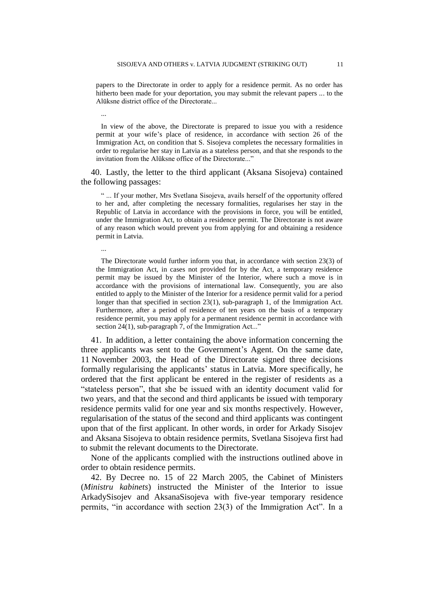papers to the Directorate in order to apply for a residence permit. As no order has hitherto been made for your deportation, you may submit the relevant papers ... to the Alūksne district office of the Directorate...

In view of the above, the Directorate is prepared to issue you with a residence permit at your wife"s place of residence, in accordance with section 26 of the Immigration Act, on condition that S. Sisojeva completes the necessary formalities in order to regularise her stay in Latvia as a stateless person, and that she responds to the invitation from the Alūksne office of the Directorate..."

40. Lastly, the letter to the third applicant (Aksana Sisojeva) contained the following passages:

" ... If your mother, Mrs Svetlana Sisojeva, avails herself of the opportunity offered to her and, after completing the necessary formalities, regularises her stay in the Republic of Latvia in accordance with the provisions in force, you will be entitled, under the Immigration Act, to obtain a residence permit. The Directorate is not aware of any reason which would prevent you from applying for and obtaining a residence permit in Latvia.

...

...

The Directorate would further inform you that, in accordance with section 23(3) of the Immigration Act, in cases not provided for by the Act, a temporary residence permit may be issued by the Minister of the Interior, where such a move is in accordance with the provisions of international law. Consequently, you are also entitled to apply to the Minister of the Interior for a residence permit valid for a period longer than that specified in section 23(1), sub-paragraph 1, of the Immigration Act. Furthermore, after a period of residence of ten years on the basis of a temporary residence permit, you may apply for a permanent residence permit in accordance with section 24(1), sub-paragraph 7, of the Immigration Act..."

41. In addition, a letter containing the above information concerning the three applicants was sent to the Government"s Agent. On the same date, 11 November 2003, the Head of the Directorate signed three decisions formally regularising the applicants' status in Latvia. More specifically, he ordered that the first applicant be entered in the register of residents as a "stateless person", that she be issued with an identity document valid for two years, and that the second and third applicants be issued with temporary residence permits valid for one year and six months respectively. However, regularisation of the status of the second and third applicants was contingent upon that of the first applicant. In other words, in order for Arkady Sisojev and Aksana Sisojeva to obtain residence permits, Svetlana Sisojeva first had to submit the relevant documents to the Directorate.

None of the applicants complied with the instructions outlined above in order to obtain residence permits.

42. By Decree no. 15 of 22 March 2005, the Cabinet of Ministers (*Ministru kabinets*) instructed the Minister of the Interior to issue ArkadySisojev and AksanaSisojeva with five-year temporary residence permits, "in accordance with section 23(3) of the Immigration Act". In a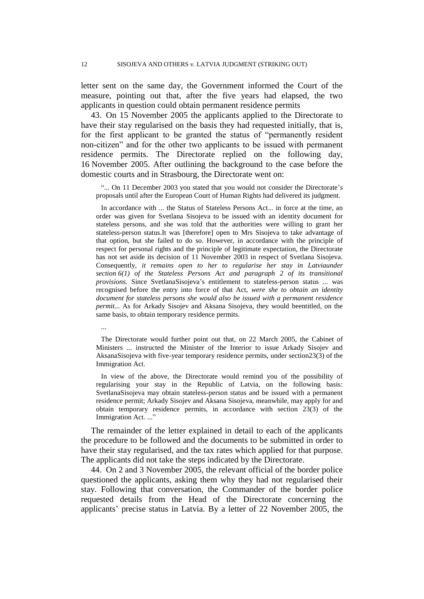letter sent on the same day, the Government informed the Court of the measure, pointing out that, after the five years had elapsed, the two applicants in question could obtain permanent residence permits

43. On 15 November 2005 the applicants applied to the Directorate to have their stay regularised on the basis they had requested initially, that is, for the first applicant to be granted the status of "permanently resident non-citizen" and for the other two applicants to be issued with permanent residence permits. The Directorate replied on the following day, 16 November 2005. After outlining the background to the case before the domestic courts and in Strasbourg, the Directorate went on:

"... On 11 December 2003 you stated that you would not consider the Directorate's proposals until after the European Court of Human Rights had delivered its judgment.

In accordance with ... the Status of Stateless Persons Act... in force at the time, an order was given for Svetlana Sisojeva to be issued with an identity document for stateless persons, and she was told that the authorities were willing to grant her stateless-person status.It was [therefore] open to Mrs Sisojeva to take advantage of that option, but she failed to do so. However, in accordance with the principle of respect for personal rights and the principle of legitimate expectation, the Directorate has not set aside its decision of 11 November 2003 in respect of Svetlana Sisojeva. Consequently, *it remains open to her to regularise her stay in Latviaunder section 6(1) of the Stateless Persons Act and paragraph 2 of its transitional provisions.* Since SvetlanaSisojeva"s entitlement to stateless-person status ... was recognised before the entry into force of that Act, *were she to obtain an identity document for stateless persons she would also be issued with a permanent residence permit*... As for Arkady Sisojev and Aksana Sisojeva, they would beentitled, on the same basis, to obtain temporary residence permits.

...

The Directorate would further point out that, on 22 March 2005, the Cabinet of Ministers ... instructed the Minister of the Interior to issue Arkady Sisojev and AksanaSisojeva with five-year temporary residence permits, under section23(3) of the Immigration Act.

In view of the above, the Directorate would remind you of the possibility of regularising your stay in the Republic of Latvia, on the following basis: SvetlanaSisojeva may obtain stateless-person status and be issued with a permanent residence permit; Arkady Sisojev and Aksana Sisojeva, meanwhile, may apply for and obtain temporary residence permits, in accordance with section 23(3) of the Immigration Act. ..."

The remainder of the letter explained in detail to each of the applicants the procedure to be followed and the documents to be submitted in order to have their stay regularised, and the tax rates which applied for that purpose. The applicants did not take the steps indicated by the Directorate.

44. On 2 and 3 November 2005, the relevant official of the border police questioned the applicants, asking them why they had not regularised their stay. Following that conversation, the Commander of the border police requested details from the Head of the Directorate concerning the applicants" precise status in Latvia. By a letter of 22 November 2005, the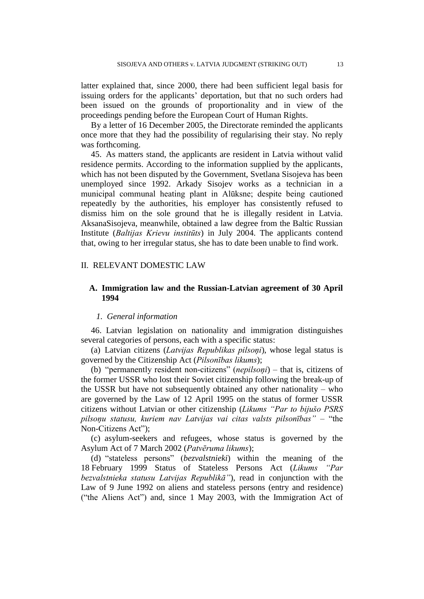latter explained that, since 2000, there had been sufficient legal basis for issuing orders for the applicants' deportation, but that no such orders had been issued on the grounds of proportionality and in view of the proceedings pending before the European Court of Human Rights.

By a letter of 16 December 2005, the Directorate reminded the applicants once more that they had the possibility of regularising their stay. No reply was forthcoming.

45. As matters stand, the applicants are resident in Latvia without valid residence permits. According to the information supplied by the applicants, which has not been disputed by the Government, Svetlana Sisojeva has been unemployed since 1992. Arkady Sisojev works as a technician in a municipal communal heating plant in Alūksne; despite being cautioned repeatedly by the authorities, his employer has consistently refused to dismiss him on the sole ground that he is illegally resident in Latvia. AksanaSisojeva, meanwhile, obtained a law degree from the Baltic Russian Institute (*Baltijas Krievu institūts*) in July 2004. The applicants contend that, owing to her irregular status, she has to date been unable to find work.

### II. RELEVANT DOMESTIC LAW

### **A. Immigration law and the Russian-Latvian agreement of 30 April 1994**

### *1. General information*

46. Latvian legislation on nationality and immigration distinguishes several categories of persons, each with a specific status:

(a) Latvian citizens (*Latvijas Republikas pilsoņi*), whose legal status is governed by the Citizenship Act (*Pilsonības likums*);

(b) "permanently resident non-citizens" (*nepilsoņi*) – that is, citizens of the former USSR who lost their Soviet citizenship following the break-up of the USSR but have not subsequently obtained any other nationality – who are governed by the Law of 12 April 1995 on the status of former USSR citizens without Latvian or other citizenship (*Likums "Par to bijušo PSRS pilsoņu statusu, kuriem nav Latvijas vai citas valsts pilsonības"* – "the Non-Citizens Act");

(c) asylum-seekers and refugees, whose status is governed by the Asylum Act of 7 March 2002 (*Patvēruma likums*);

(d) "stateless persons" (*bezvalstnieki*) within the meaning of the 18 February 1999 Status of Stateless Persons Act (*Likums "Par bezvalstnieka statusu Latvijas Republikā"*), read in conjunction with the Law of 9 June 1992 on aliens and stateless persons (entry and residence) ("the Aliens Act") and, since 1 May 2003, with the Immigration Act of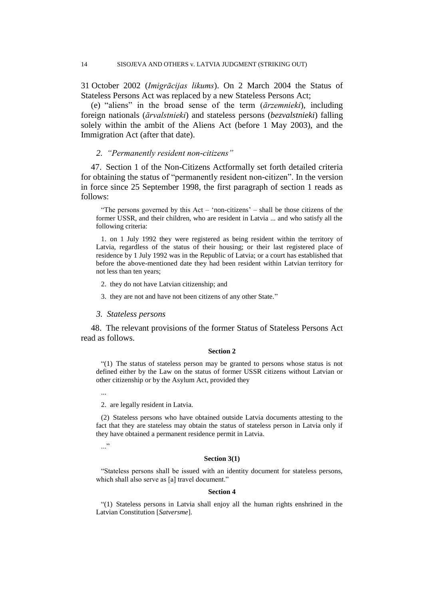31 October 2002 (*Imigrācijas likums*). On 2 March 2004 the Status of Stateless Persons Act was replaced by a new Stateless Persons Act;

(e) "aliens" in the broad sense of the term (*ārzemnieki*), including foreign nationals (*ārvalstnieki*) and stateless persons (*bezvalstnieki*) falling solely within the ambit of the Aliens Act (before 1 May 2003), and the Immigration Act (after that date).

### *2. "Permanently resident non-citizens"*

47. Section 1 of the Non-Citizens Actformally set forth detailed criteria for obtaining the status of "permanently resident non-citizen". In the version in force since 25 September 1998, the first paragraph of section 1 reads as follows:

"The persons governed by this Act – "non-citizens" – shall be those citizens of the former USSR, and their children, who are resident in Latvia ... and who satisfy all the following criteria:

1. on 1 July 1992 they were registered as being resident within the territory of Latvia, regardless of the status of their housing; or their last registered place of residence by 1 July 1992 was in the Republic of Latvia; or a court has established that before the above-mentioned date they had been resident within Latvian territory for not less than ten years;

- 2. they do not have Latvian citizenship; and
- 3. they are not and have not been citizens of any other State."
- *3. Stateless persons*

48. The relevant provisions of the former Status of Stateless Persons Act read as follows.

#### **Section 2**

"(1) The status of stateless person may be granted to persons whose status is not defined either by the Law on the status of former USSR citizens without Latvian or other citizenship or by the Asylum Act, provided they

...

2. are legally resident in Latvia.

(2) Stateless persons who have obtained outside Latvia documents attesting to the fact that they are stateless may obtain the status of stateless person in Latvia only if they have obtained a permanent residence permit in Latvia.

..."

#### **Section 3(1)**

"Stateless persons shall be issued with an identity document for stateless persons, which shall also serve as [a] travel document."

#### **Section 4**

"(1) Stateless persons in Latvia shall enjoy all the human rights enshrined in the Latvian Constitution [*Satversme*].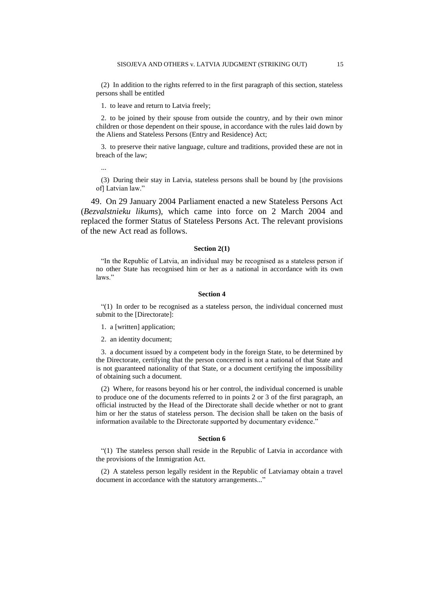(2) In addition to the rights referred to in the first paragraph of this section, stateless persons shall be entitled

1. to leave and return to Latvia freely;

2. to be joined by their spouse from outside the country, and by their own minor children or those dependent on their spouse, in accordance with the rules laid down by the Aliens and Stateless Persons (Entry and Residence) Act;

3. to preserve their native language, culture and traditions, provided these are not in breach of the law;

...

(3) During their stay in Latvia, stateless persons shall be bound by [the provisions of] Latvian law."

49. On 29 January 2004 Parliament enacted a new Stateless Persons Act (*Bezvalstnieku likums*), which came into force on 2 March 2004 and replaced the former Status of Stateless Persons Act. The relevant provisions of the new Act read as follows.

### **Section 2(1)**

"In the Republic of Latvia, an individual may be recognised as a stateless person if no other State has recognised him or her as a national in accordance with its own laws."

#### **Section 4**

"(1) In order to be recognised as a stateless person, the individual concerned must submit to the [Directorate]:

1. a [written] application;

2. an identity document;

3. a document issued by a competent body in the foreign State, to be determined by the Directorate, certifying that the person concerned is not a national of that State and is not guaranteed nationality of that State, or a document certifying the impossibility of obtaining such a document.

(2) Where, for reasons beyond his or her control, the individual concerned is unable to produce one of the documents referred to in points 2 or 3 of the first paragraph, an official instructed by the Head of the Directorate shall decide whether or not to grant him or her the status of stateless person. The decision shall be taken on the basis of information available to the Directorate supported by documentary evidence."

#### **Section 6**

"(1) The stateless person shall reside in the Republic of Latvia in accordance with the provisions of the Immigration Act.

(2) A stateless person legally resident in the Republic of Latviamay obtain a travel document in accordance with the statutory arrangements..."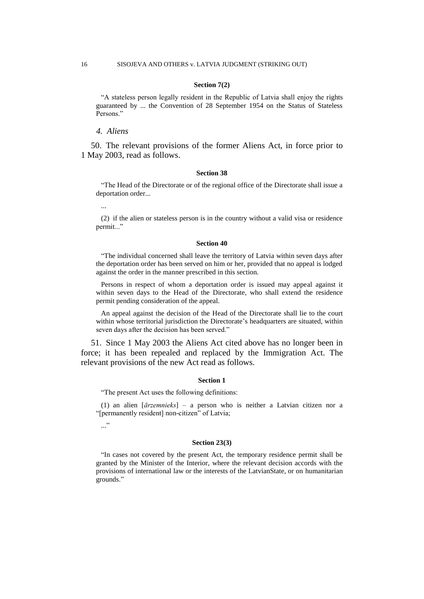#### **Section 7(2)**

"A stateless person legally resident in the Republic of Latvia shall enjoy the rights guaranteed by ... the Convention of 28 September 1954 on the Status of Stateless Persons."

*4. Aliens*

50. The relevant provisions of the former Aliens Act, in force prior to 1 May 2003, read as follows.

#### **Section 38**

"The Head of the Directorate or of the regional office of the Directorate shall issue a deportation order...

...

(2) if the alien or stateless person is in the country without a valid visa or residence permit..."

#### **Section 40**

"The individual concerned shall leave the territory of Latvia within seven days after the deportation order has been served on him or her, provided that no appeal is lodged against the order in the manner prescribed in this section.

Persons in respect of whom a deportation order is issued may appeal against it within seven days to the Head of the Directorate, who shall extend the residence permit pending consideration of the appeal.

An appeal against the decision of the Head of the Directorate shall lie to the court within whose territorial jurisdiction the Directorate's headquarters are situated, within seven days after the decision has been served."

51. Since 1 May 2003 the Aliens Act cited above has no longer been in force; it has been repealed and replaced by the Immigration Act. The relevant provisions of the new Act read as follows.

#### **Section 1**

"The present Act uses the following definitions:

(1) an alien [*ārzemnieks*] – a person who is neither a Latvian citizen nor a "[permanently resident] non-citizen" of Latvia;

..."

#### **Section 23(3)**

"In cases not covered by the present Act, the temporary residence permit shall be granted by the Minister of the Interior, where the relevant decision accords with the provisions of international law or the interests of the LatvianState, or on humanitarian grounds."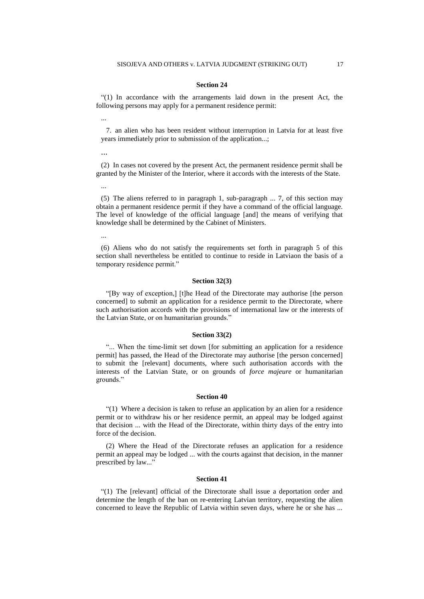#### **Section 24**

"(1) In accordance with the arrangements laid down in the present Act, the following persons may apply for a permanent residence permit:

7. an alien who has been resident without interruption in Latvia for at least five years immediately prior to submission of the application...;

...

...

(2) In cases not covered by the present Act, the permanent residence permit shall be granted by the Minister of the Interior, where it accords with the interests of the State.

...

(5) The aliens referred to in paragraph 1, sub-paragraph ... 7, of this section may obtain a permanent residence permit if they have a command of the official language. The level of knowledge of the official language [and] the means of verifying that knowledge shall be determined by the Cabinet of Ministers.

...

(6) Aliens who do not satisfy the requirements set forth in paragraph 5 of this section shall nevertheless be entitled to continue to reside in Latviaon the basis of a temporary residence permit."

#### **Section 32(3)**

"[By way of exception,] [t]he Head of the Directorate may authorise [the person concerned] to submit an application for a residence permit to the Directorate, where such authorisation accords with the provisions of international law or the interests of the Latvian State, or on humanitarian grounds."

#### **Section 33(2)**

"... When the time-limit set down [for submitting an application for a residence permit] has passed, the Head of the Directorate may authorise [the person concerned] to submit the [relevant] documents, where such authorisation accords with the interests of the Latvian State, or on grounds of *force majeure* or humanitarian grounds."

#### **Section 40**

"(1) Where a decision is taken to refuse an application by an alien for a residence permit or to withdraw his or her residence permit, an appeal may be lodged against that decision ... with the Head of the Directorate, within thirty days of the entry into force of the decision.

(2) Where the Head of the Directorate refuses an application for a residence permit an appeal may be lodged ... with the courts against that decision, in the manner prescribed by law..."

#### **Section 41**

"(1) The [relevant] official of the Directorate shall issue a deportation order and determine the length of the ban on re-entering Latvian territory, requesting the alien concerned to leave the Republic of Latvia within seven days, where he or she has ...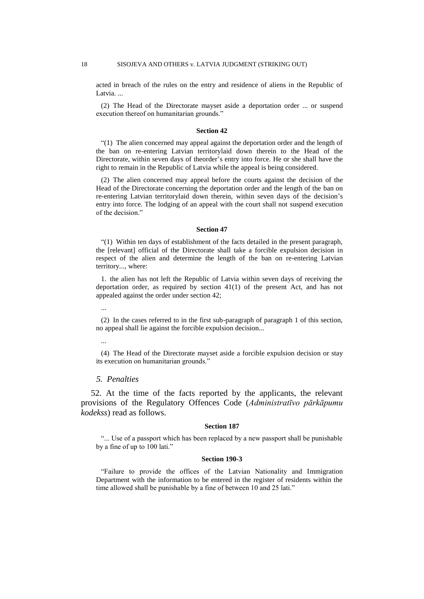acted in breach of the rules on the entry and residence of aliens in the Republic of Latvia.

(2) The Head of the Directorate mayset aside a deportation order ... or suspend execution thereof on humanitarian grounds."

#### **Section 42**

"(1) The alien concerned may appeal against the deportation order and the length of the ban on re-entering Latvian territorylaid down therein to the Head of the Directorate, within seven days of theorder"s entry into force. He or she shall have the right to remain in the Republic of Latvia while the appeal is being considered.

(2) The alien concerned may appeal before the courts against the decision of the Head of the Directorate concerning the deportation order and the length of the ban on re-entering Latvian territorylaid down therein, within seven days of the decision"s entry into force. The lodging of an appeal with the court shall not suspend execution of the decision."

#### **Section 47**

"(1) Within ten days of establishment of the facts detailed in the present paragraph, the [relevant] official of the Directorate shall take a forcible expulsion decision in respect of the alien and determine the length of the ban on re-entering Latvian territory..., where:

1. the alien has not left the Republic of Latvia within seven days of receiving the deportation order, as required by section 41(1) of the present Act, and has not appealed against the order under section 42;

...

(2) In the cases referred to in the first sub-paragraph of paragraph 1 of this section, no appeal shall lie against the forcible expulsion decision...

...

(4) The Head of the Directorate mayset aside a forcible expulsion decision or stay its execution on humanitarian grounds."

### *5. Penalties*

52*.* At the time of the facts reported by the applicants, the relevant provisions of the Regulatory Offences Code (*Administratīvo pārkāpumu kodekss*) read as follows.

#### **Section 187**

"... Use of a passport which has been replaced by a new passport shall be punishable by a fine of up to 100 lati."

#### **Section 190-3**

"Failure to provide the offices of the Latvian Nationality and Immigration Department with the information to be entered in the register of residents within the time allowed shall be punishable by a fine of between 10 and 25 lati."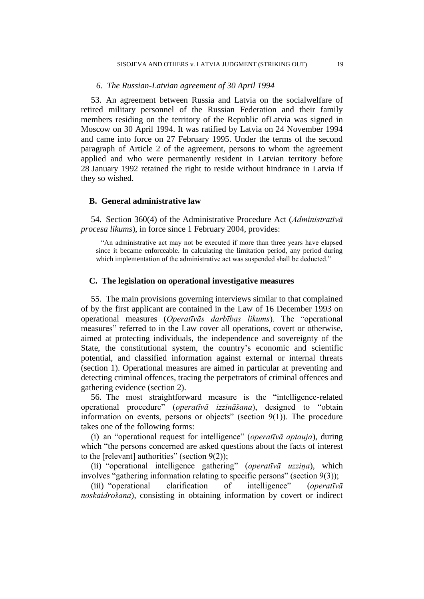### *6. The Russian-Latvian agreement of 30 April 1994*

53. An agreement between Russia and Latvia on the socialwelfare of retired military personnel of the Russian Federation and their family members residing on the territory of the Republic ofLatvia was signed in Moscow on 30 April 1994. It was ratified by Latvia on 24 November 1994 and came into force on 27 February 1995. Under the terms of the second paragraph of Article 2 of the agreement, persons to whom the agreement applied and who were permanently resident in Latvian territory before 28 January 1992 retained the right to reside without hindrance in Latvia if they so wished.

### **B. General administrative law**

54. Section 360(4) of the Administrative Procedure Act (*Administratīvā procesa likums*), in force since 1 February 2004, provides:

"An administrative act may not be executed if more than three years have elapsed since it became enforceable. In calculating the limitation period, any period during which implementation of the administrative act was suspended shall be deducted."

### **C. The legislation on operational investigative measures**

55. The main provisions governing interviews similar to that complained of by the first applicant are contained in the Law of 16 December 1993 on operational measures (*Operatīvās darbības likums*). The "operational measures" referred to in the Law cover all operations, covert or otherwise, aimed at protecting individuals, the independence and sovereignty of the State, the constitutional system, the country"s economic and scientific potential, and classified information against external or internal threats (section 1). Operational measures are aimed in particular at preventing and detecting criminal offences, tracing the perpetrators of criminal offences and gathering evidence (section 2).

56. The most straightforward measure is the "intelligence-related operational procedure" (*operatīvā izzināšana*), designed to "obtain information on events, persons or objects" (section 9(1)). The procedure takes one of the following forms:

(i) an "operational request for intelligence" (*operatīvā aptauja*), during which "the persons concerned are asked questions about the facts of interest to the [relevant] authorities" (section  $9(2)$ );

(ii) "operational intelligence gathering" (*operatīvā uzziņa*), which involves "gathering information relating to specific persons" (section 9(3));

(iii) "operational clarification of intelligence" (*operatīvā noskaidrošana*), consisting in obtaining information by covert or indirect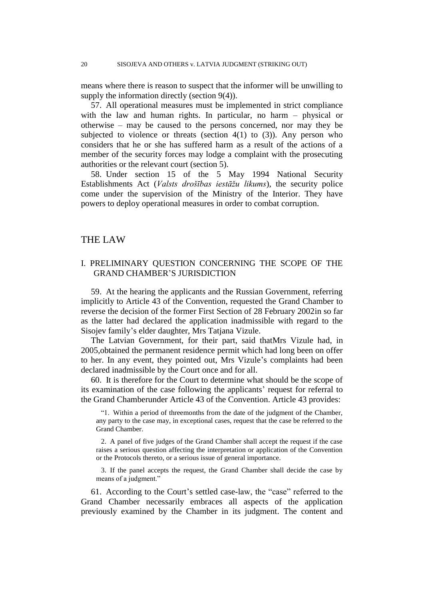means where there is reason to suspect that the informer will be unwilling to supply the information directly (section 9(4)).

57. All operational measures must be implemented in strict compliance with the law and human rights. In particular, no harm – physical or otherwise – may be caused to the persons concerned, nor may they be subjected to violence or threats (section  $4(1)$  to  $(3)$ ). Any person who considers that he or she has suffered harm as a result of the actions of a member of the security forces may lodge a complaint with the prosecuting authorities or the relevant court (section 5).

58. Under section 15 of the 5 May 1994 National Security Establishments Act (*Valsts drošības iestāžu likums*), the security police come under the supervision of the Ministry of the Interior. They have powers to deploy operational measures in order to combat corruption.

### THE LAW

### I. PRELIMINARY QUESTION CONCERNING THE SCOPE OF THE GRAND CHAMBER"S JURISDICTION

59. At the hearing the applicants and the Russian Government, referring implicitly to Article 43 of the Convention, requested the Grand Chamber to reverse the decision of the former First Section of 28 February 2002in so far as the latter had declared the application inadmissible with regard to the Sisojev family"s elder daughter, Mrs Tatjana Vizule.

The Latvian Government, for their part, said thatMrs Vizule had, in 2005,obtained the permanent residence permit which had long been on offer to her. In any event, they pointed out, Mrs Vizule"s complaints had been declared inadmissible by the Court once and for all.

60. It is therefore for the Court to determine what should be the scope of its examination of the case following the applicants' request for referral to the Grand Chamberunder Article 43 of the Convention. Article 43 provides:

"1. Within a period of threemonths from the date of the judgment of the Chamber, any party to the case may, in exceptional cases, request that the case be referred to the Grand Chamber.

2. A panel of five judges of the Grand Chamber shall accept the request if the case raises a serious question affecting the interpretation or application of the Convention or the Protocols thereto, or a serious issue of general importance.

3. If the panel accepts the request, the Grand Chamber shall decide the case by means of a judgment."

61. According to the Court"s settled case-law, the "case" referred to the Grand Chamber necessarily embraces all aspects of the application previously examined by the Chamber in its judgment. The content and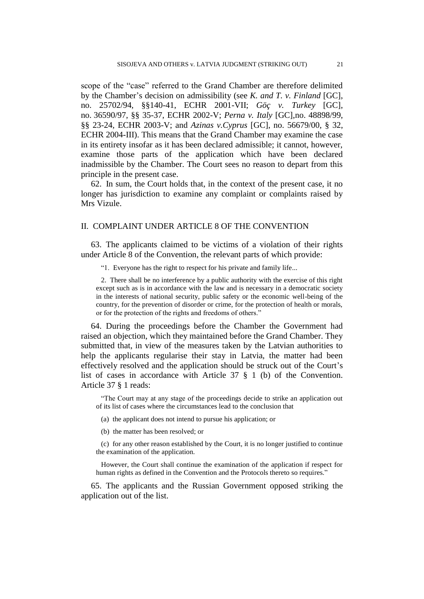scope of the "case" referred to the Grand Chamber are therefore delimited by the Chamber"s decision on admissibility (see *K. and T. v. Finland* [GC], no. 25702/94, §§140-41, ECHR 2001-VII; *Göç v. Turkey* [GC], no. 36590/97, §§ 35-37, ECHR 2002-V; *Perna v. Italy* [GC],no. 48898/99, §§ 23-24, ECHR 2003-V; and *Azinas v.Cyprus* [GC], no. 56679/00, § 32, ECHR 2004-III). This means that the Grand Chamber may examine the case in its entirety insofar as it has been declared admissible; it cannot, however, examine those parts of the application which have been declared inadmissible by the Chamber. The Court sees no reason to depart from this principle in the present case.

62. In sum, the Court holds that, in the context of the present case, it no longer has jurisdiction to examine any complaint or complaints raised by Mrs Vizule.

### II. COMPLAINT UNDER ARTICLE 8 OF THE CONVENTION

63. The applicants claimed to be victims of a violation of their rights under Article 8 of the Convention, the relevant parts of which provide:

"1. Everyone has the right to respect for his private and family life...

2. There shall be no interference by a public authority with the exercise of this right except such as is in accordance with the law and is necessary in a democratic society in the interests of national security, public safety or the economic well-being of the country, for the prevention of disorder or crime, for the protection of health or morals, or for the protection of the rights and freedoms of others."

64. During the proceedings before the Chamber the Government had raised an objection, which they maintained before the Grand Chamber. They submitted that, in view of the measures taken by the Latvian authorities to help the applicants regularise their stay in Latvia, the matter had been effectively resolved and the application should be struck out of the Court"s list of cases in accordance with Article 37 § 1 (b) of the Convention. Article 37 § 1 reads:

"The Court may at any stage of the proceedings decide to strike an application out of its list of cases where the circumstances lead to the conclusion that

(a) the applicant does not intend to pursue his application; or

(b) the matter has been resolved; or

(c) for any other reason established by the Court, it is no longer justified to continue the examination of the application.

However, the Court shall continue the examination of the application if respect for human rights as defined in the Convention and the Protocols thereto so requires."

65. The applicants and the Russian Government opposed striking the application out of the list.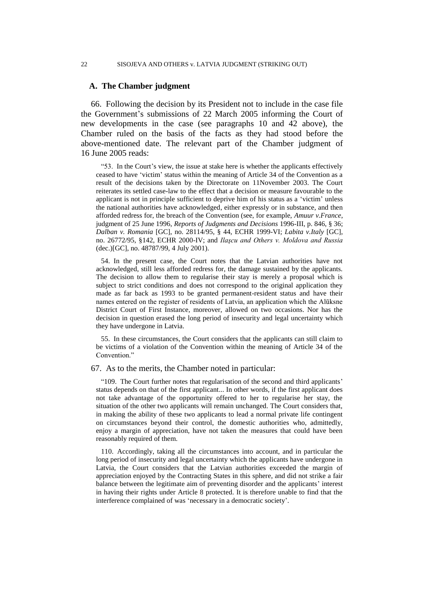#### 22 SISOJEVA AND OTHERS v. LATVIA JUDGMENT (STRIKING OUT)

### **A. The Chamber judgment**

66. Following the decision by its President not to include in the case file the Government"s submissions of 22 March 2005 informing the Court of new developments in the case (see paragraphs 10 and 42 above), the Chamber ruled on the basis of the facts as they had stood before the above-mentioned date. The relevant part of the Chamber judgment of 16 June 2005 reads:

"53. In the Court's view, the issue at stake here is whether the applicants effectively ceased to have "victim" status within the meaning of Article 34 of the Convention as a result of the decisions taken by the Directorate on 11November 2003. The Court reiterates its settled case-law to the effect that a decision or measure favourable to the applicant is not in principle sufficient to deprive him of his status as a "victim" unless the national authorities have acknowledged, either expressly or in substance, and then afforded redress for, the breach of the Convention (see, for example, *Amuur v.France*, judgment of 25 June 1996, *Reports of Judgments and Decisions* 1996-III, p. 846, § 36; *Dalban v. Romania* [GC], no. 28114/95, § 44, ECHR 1999-VI; *Labita v.Italy* [GC], no. 26772/95, §142, ECHR 2000-IV; and *Ilaşcu and Others v. Moldova and Russia*  (dec.)[GC], no. 48787/99, 4 July 2001).

54. In the present case, the Court notes that the Latvian authorities have not acknowledged, still less afforded redress for, the damage sustained by the applicants. The decision to allow them to regularise their stay is merely a proposal which is subject to strict conditions and does not correspond to the original application they made as far back as 1993 to be granted permanent-resident status and have their names entered on the register of residents of Latvia, an application which the Alūksne District Court of First Instance, moreover, allowed on two occasions. Nor has the decision in question erased the long period of insecurity and legal uncertainty which they have undergone in Latvia.

55. In these circumstances, the Court considers that the applicants can still claim to be victims of a violation of the Convention within the meaning of Article 34 of the Convention."

### 67. As to the merits, the Chamber noted in particular:

"109. The Court further notes that regularisation of the second and third applicants' status depends on that of the first applicant... In other words, if the first applicant does not take advantage of the opportunity offered to her to regularise her stay, the situation of the other two applicants will remain unchanged. The Court considers that, in making the ability of these two applicants to lead a normal private life contingent on circumstances beyond their control, the domestic authorities who, admittedly, enjoy a margin of appreciation, have not taken the measures that could have been reasonably required of them.

110. Accordingly, taking all the circumstances into account, and in particular the long period of insecurity and legal uncertainty which the applicants have undergone in Latvia, the Court considers that the Latvian authorities exceeded the margin of appreciation enjoyed by the Contracting States in this sphere, and did not strike a fair balance between the legitimate aim of preventing disorder and the applicants' interest in having their rights under Article 8 protected. It is therefore unable to find that the interference complained of was "necessary in a democratic society".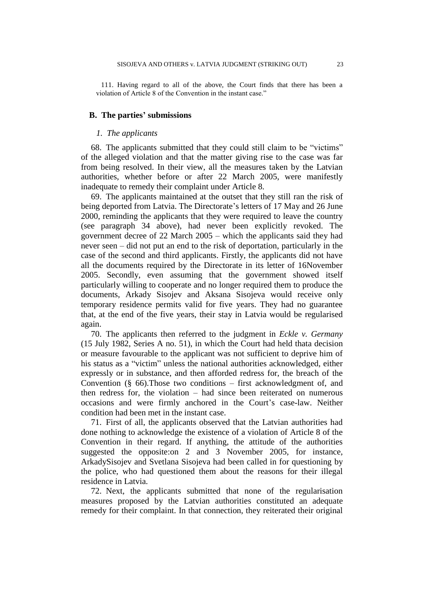111. Having regard to all of the above, the Court finds that there has been a violation of Article 8 of the Convention in the instant case."

### **B. The parties' submissions**

### *1. The applicants*

68. The applicants submitted that they could still claim to be "victims" of the alleged violation and that the matter giving rise to the case was far from being resolved. In their view, all the measures taken by the Latvian authorities, whether before or after 22 March 2005, were manifestly inadequate to remedy their complaint under Article 8.

69. The applicants maintained at the outset that they still ran the risk of being deported from Latvia. The Directorate's letters of 17 May and 26 June 2000, reminding the applicants that they were required to leave the country (see paragraph 34 above), had never been explicitly revoked. The government decree of 22 March 2005 – which the applicants said they had never seen – did not put an end to the risk of deportation, particularly in the case of the second and third applicants. Firstly, the applicants did not have all the documents required by the Directorate in its letter of 16November 2005. Secondly, even assuming that the government showed itself particularly willing to cooperate and no longer required them to produce the documents, Arkady Sisojev and Aksana Sisojeva would receive only temporary residence permits valid for five years. They had no guarantee that, at the end of the five years, their stay in Latvia would be regularised again.

70. The applicants then referred to the judgment in *Eckle v. Germany* (15 July 1982, Series A no. 51), in which the Court had held thata decision or measure favourable to the applicant was not sufficient to deprive him of his status as a "victim" unless the national authorities acknowledged, either expressly or in substance, and then afforded redress for, the breach of the Convention (§ 66).Those two conditions – first acknowledgment of, and then redress for, the violation – had since been reiterated on numerous occasions and were firmly anchored in the Court's case-law. Neither condition had been met in the instant case.

71. First of all, the applicants observed that the Latvian authorities had done nothing to acknowledge the existence of a violation of Article 8 of the Convention in their regard. If anything, the attitude of the authorities suggested the opposite:on 2 and 3 November 2005, for instance, ArkadySisojev and Svetlana Sisojeva had been called in for questioning by the police, who had questioned them about the reasons for their illegal residence in Latvia.

72. Next, the applicants submitted that none of the regularisation measures proposed by the Latvian authorities constituted an adequate remedy for their complaint. In that connection, they reiterated their original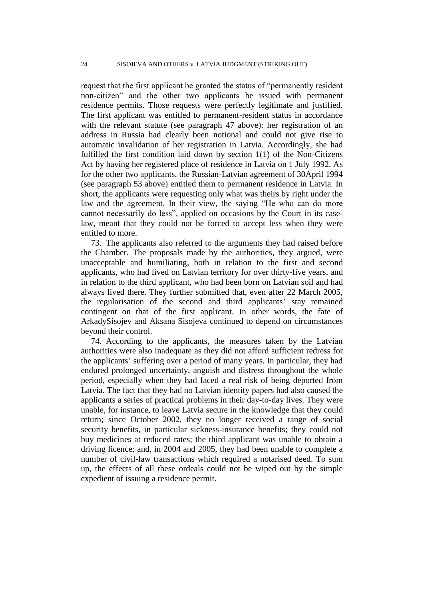request that the first applicant be granted the status of "permanently resident non-citizen" and the other two applicants be issued with permanent residence permits. Those requests were perfectly legitimate and justified. The first applicant was entitled to permanent-resident status in accordance with the relevant statute (see paragraph 47 above): her registration of an address in Russia had clearly been notional and could not give rise to automatic invalidation of her registration in Latvia. Accordingly, she had fulfilled the first condition laid down by section 1(1) of the Non-Citizens Act by having her registered place of residence in Latvia on 1 July 1992. As for the other two applicants, the Russian-Latvian agreement of 30April 1994 (see paragraph 53 above) entitled them to permanent residence in Latvia. In short, the applicants were requesting only what was theirs by right under the law and the agreement. In their view, the saying "He who can do more cannot necessarily do less", applied on occasions by the Court in its caselaw, meant that they could not be forced to accept less when they were entitled to more.

73. The applicants also referred to the arguments they had raised before the Chamber. The proposals made by the authorities, they argued, were unacceptable and humiliating, both in relation to the first and second applicants, who had lived on Latvian territory for over thirty-five years, and in relation to the third applicant, who had been born on Latvian soil and had always lived there. They further submitted that, even after 22 March 2005, the regularisation of the second and third applicants' stay remained contingent on that of the first applicant. In other words, the fate of ArkadySisojev and Aksana Sisojeva continued to depend on circumstances beyond their control.

74. According to the applicants, the measures taken by the Latvian authorities were also inadequate as they did not afford sufficient redress for the applicants' suffering over a period of many years. In particular, they had endured prolonged uncertainty, anguish and distress throughout the whole period, especially when they had faced a real risk of being deported from Latvia. The fact that they had no Latvian identity papers had also caused the applicants a series of practical problems in their day-to-day lives. They were unable, for instance, to leave Latvia secure in the knowledge that they could return; since October 2002, they no longer received a range of social security benefits, in particular sickness-insurance benefits; they could not buy medicines at reduced rates; the third applicant was unable to obtain a driving licence; and, in 2004 and 2005, they had been unable to complete a number of civil-law transactions which required a notarised deed. To sum up, the effects of all these ordeals could not be wiped out by the simple expedient of issuing a residence permit.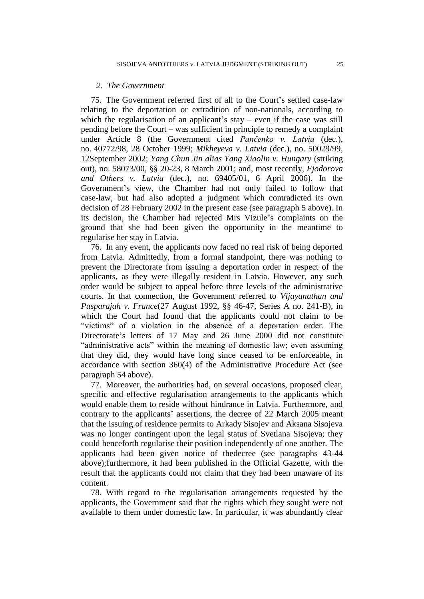### *2. The Government*

75. The Government referred first of all to the Court"s settled case-law relating to the deportation or extradition of non-nationals, according to which the regularisation of an applicant's stay – even if the case was still pending before the Court – was sufficient in principle to remedy a complaint under Article 8 (the Government cited *Pančenko v. Latvia* (dec.), no. 40772/98, 28 October 1999; *Mikheyeva v. Latvia* (dec.), no. 50029/99, 12September 2002; *Yang Chun Jin alias Yang Xiaolin v. Hungary* (striking out), no. 58073/00, §§ 20-23, 8 March 2001; and, most recently, *Fjodorova and Others v. Latvia* (dec.), no. 69405/01, 6 April 2006). In the Government"s view, the Chamber had not only failed to follow that case-law, but had also adopted a judgment which contradicted its own decision of 28 February 2002 in the present case (see paragraph 5 above). In its decision, the Chamber had rejected Mrs Vizule"s complaints on the ground that she had been given the opportunity in the meantime to regularise her stay in Latvia.

76. In any event, the applicants now faced no real risk of being deported from Latvia. Admittedly, from a formal standpoint, there was nothing to prevent the Directorate from issuing a deportation order in respect of the applicants, as they were illegally resident in Latvia. However, any such order would be subject to appeal before three levels of the administrative courts. In that connection, the Government referred to *Vijayanathan and Pusparajah v. France*(27 August 1992, §§ 46-47, Series A no. 241-B), in which the Court had found that the applicants could not claim to be "victims" of a violation in the absence of a deportation order. The Directorate's letters of 17 May and 26 June 2000 did not constitute "administrative acts" within the meaning of domestic law; even assuming that they did, they would have long since ceased to be enforceable, in accordance with section 360(4) of the Administrative Procedure Act (see paragraph 54 above).

77. Moreover, the authorities had, on several occasions, proposed clear, specific and effective regularisation arrangements to the applicants which would enable them to reside without hindrance in Latvia. Furthermore, and contrary to the applicants' assertions, the decree of 22 March 2005 meant that the issuing of residence permits to Arkady Sisojev and Aksana Sisojeva was no longer contingent upon the legal status of Svetlana Sisojeva; they could henceforth regularise their position independently of one another. The applicants had been given notice of thedecree (see paragraphs 43-44 above);furthermore, it had been published in the Official Gazette, with the result that the applicants could not claim that they had been unaware of its content.

78. With regard to the regularisation arrangements requested by the applicants, the Government said that the rights which they sought were not available to them under domestic law. In particular, it was abundantly clear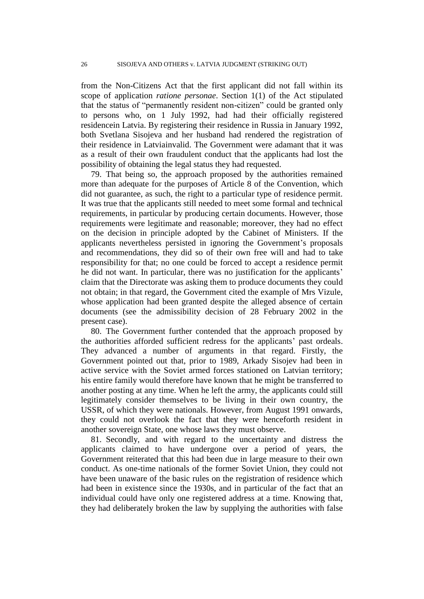from the Non-Citizens Act that the first applicant did not fall within its scope of application *ratione personae*. Section 1(1) of the Act stipulated that the status of "permanently resident non-citizen" could be granted only to persons who, on 1 July 1992, had had their officially registered residencein Latvia. By registering their residence in Russia in January 1992, both Svetlana Sisojeva and her husband had rendered the registration of their residence in Latviainvalid. The Government were adamant that it was as a result of their own fraudulent conduct that the applicants had lost the possibility of obtaining the legal status they had requested.

79. That being so, the approach proposed by the authorities remained more than adequate for the purposes of Article 8 of the Convention, which did not guarantee, as such, the right to a particular type of residence permit. It was true that the applicants still needed to meet some formal and technical requirements, in particular by producing certain documents. However, those requirements were legitimate and reasonable; moreover, they had no effect on the decision in principle adopted by the Cabinet of Ministers. If the applicants nevertheless persisted in ignoring the Government"s proposals and recommendations, they did so of their own free will and had to take responsibility for that; no one could be forced to accept a residence permit he did not want. In particular, there was no justification for the applicants' claim that the Directorate was asking them to produce documents they could not obtain; in that regard, the Government cited the example of Mrs Vizule, whose application had been granted despite the alleged absence of certain documents (see the admissibility decision of 28 February 2002 in the present case).

80. The Government further contended that the approach proposed by the authorities afforded sufficient redress for the applicants' past ordeals. They advanced a number of arguments in that regard. Firstly, the Government pointed out that, prior to 1989, Arkady Sisojev had been in active service with the Soviet armed forces stationed on Latvian territory; his entire family would therefore have known that he might be transferred to another posting at any time. When he left the army, the applicants could still legitimately consider themselves to be living in their own country, the USSR, of which they were nationals. However, from August 1991 onwards, they could not overlook the fact that they were henceforth resident in another sovereign State, one whose laws they must observe.

81. Secondly, and with regard to the uncertainty and distress the applicants claimed to have undergone over a period of years, the Government reiterated that this had been due in large measure to their own conduct. As one-time nationals of the former Soviet Union, they could not have been unaware of the basic rules on the registration of residence which had been in existence since the 1930s, and in particular of the fact that an individual could have only one registered address at a time. Knowing that, they had deliberately broken the law by supplying the authorities with false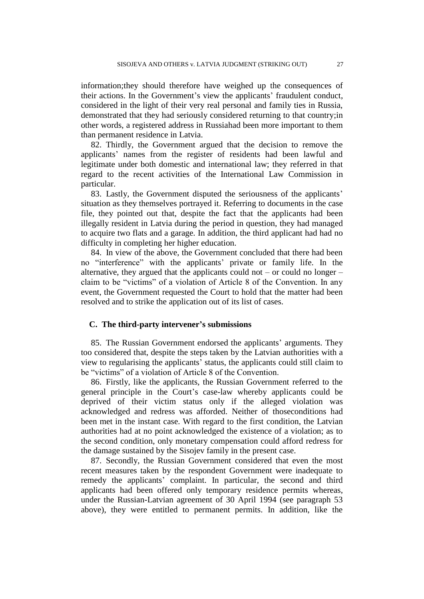information;they should therefore have weighed up the consequences of their actions. In the Government's view the applicants' fraudulent conduct, considered in the light of their very real personal and family ties in Russia, demonstrated that they had seriously considered returning to that country;in other words, a registered address in Russiahad been more important to them than permanent residence in Latvia.

82. Thirdly, the Government argued that the decision to remove the applicants" names from the register of residents had been lawful and legitimate under both domestic and international law; they referred in that regard to the recent activities of the International Law Commission in particular.

83. Lastly, the Government disputed the seriousness of the applicants' situation as they themselves portrayed it. Referring to documents in the case file, they pointed out that, despite the fact that the applicants had been illegally resident in Latvia during the period in question, they had managed to acquire two flats and a garage. In addition, the third applicant had had no difficulty in completing her higher education.

84. In view of the above, the Government concluded that there had been no "interference" with the applicants" private or family life. In the alternative, they argued that the applicants could not – or could no longer – claim to be "victims" of a violation of Article 8 of the Convention. In any event, the Government requested the Court to hold that the matter had been resolved and to strike the application out of its list of cases.

### **C. The third-party intervener's submissions**

85. The Russian Government endorsed the applicants' arguments. They too considered that, despite the steps taken by the Latvian authorities with a view to regularising the applicants" status, the applicants could still claim to be "victims" of a violation of Article 8 of the Convention.

86. Firstly, like the applicants, the Russian Government referred to the general principle in the Court's case-law whereby applicants could be deprived of their victim status only if the alleged violation was acknowledged and redress was afforded. Neither of thoseconditions had been met in the instant case. With regard to the first condition, the Latvian authorities had at no point acknowledged the existence of a violation; as to the second condition, only monetary compensation could afford redress for the damage sustained by the Sisojev family in the present case.

87. Secondly, the Russian Government considered that even the most recent measures taken by the respondent Government were inadequate to remedy the applicants" complaint. In particular, the second and third applicants had been offered only temporary residence permits whereas, under the Russian-Latvian agreement of 30 April 1994 (see paragraph 53 above), they were entitled to permanent permits. In addition, like the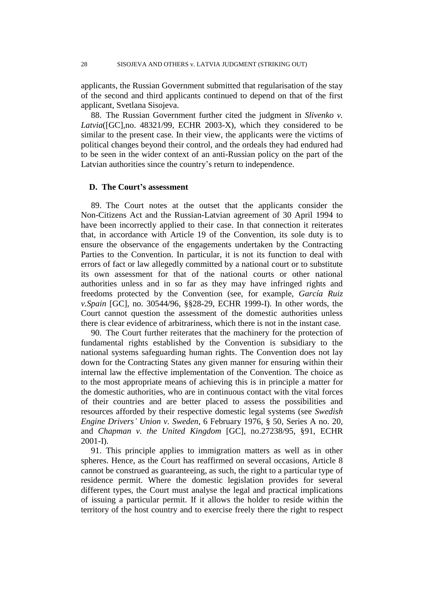applicants, the Russian Government submitted that regularisation of the stay of the second and third applicants continued to depend on that of the first applicant, Svetlana Sisojeva.

88. The Russian Government further cited the judgment in *Slivenko v. Latvia*([GC],no. 48321/99, ECHR 2003-X), which they considered to be similar to the present case. In their view, the applicants were the victims of political changes beyond their control, and the ordeals they had endured had to be seen in the wider context of an anti-Russian policy on the part of the Latvian authorities since the country"s return to independence.

### **D. The Court's assessment**

89. The Court notes at the outset that the applicants consider the Non-Citizens Act and the Russian-Latvian agreement of 30 April 1994 to have been incorrectly applied to their case. In that connection it reiterates that, in accordance with Article 19 of the Convention, its sole duty is to ensure the observance of the engagements undertaken by the Contracting Parties to the Convention. In particular, it is not its function to deal with errors of fact or law allegedly committed by a national court or to substitute its own assessment for that of the national courts or other national authorities unless and in so far as they may have infringed rights and freedoms protected by the Convention (see, for example, *García Ruiz v.Spain* [GC], no. 30544/96, §§28-29, ECHR 1999-I). In other words, the Court cannot question the assessment of the domestic authorities unless there is clear evidence of arbitrariness, which there is not in the instant case.

90. The Court further reiterates that the machinery for the protection of fundamental rights established by the Convention is subsidiary to the national systems safeguarding human rights. The Convention does not lay down for the Contracting States any given manner for ensuring within their internal law the effective implementation of the Convention. The choice as to the most appropriate means of achieving this is in principle a matter for the domestic authorities, who are in continuous contact with the vital forces of their countries and are better placed to assess the possibilities and resources afforded by their respective domestic legal systems (see *Swedish Engine Drivers' Union v. Sweden*, 6 February 1976, § 50, Series A no. 20, and *Chapman v. the United Kingdom* [GC], no.27238/95, §91, ECHR 2001-I).

91. This principle applies to immigration matters as well as in other spheres. Hence, as the Court has reaffirmed on several occasions, Article 8 cannot be construed as guaranteeing, as such, the right to a particular type of residence permit. Where the domestic legislation provides for several different types, the Court must analyse the legal and practical implications of issuing a particular permit. If it allows the holder to reside within the territory of the host country and to exercise freely there the right to respect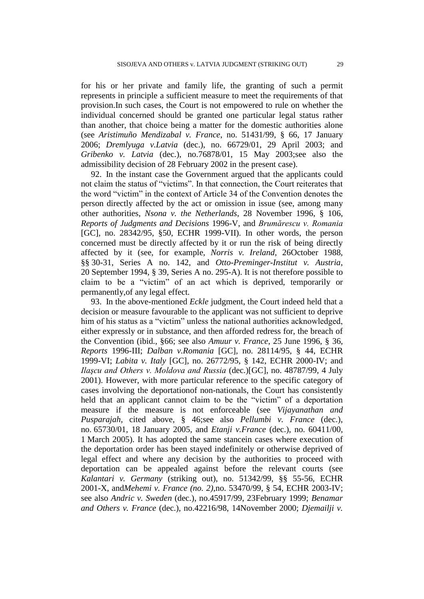for his or her private and family life, the granting of such a permit represents in principle a sufficient measure to meet the requirements of that provision.In such cases, the Court is not empowered to rule on whether the individual concerned should be granted one particular legal status rather than another, that choice being a matter for the domestic authorities alone (see *Aristimuño Mendizabal v. France*, no. 51431/99, § 66, 17 January 2006; *Dremlyuga v.Latvia* (dec.), no. 66729/01, 29 April 2003; and *Gribenko v. Latvia* (dec.), no.76878/01, 15 May 2003;see also the admissibility decision of 28 February 2002 in the present case).

92. In the instant case the Government argued that the applicants could not claim the status of "victims". In that connection, the Court reiterates that the word "victim" in the context of Article 34 of the Convention denotes the person directly affected by the act or omission in issue (see, among many other authorities, *Nsona v. the Netherlands*, 28 November 1996, § 106, *Reports of Judgments and Decisions* 1996-V, and *Brumărescu v. Romania* [GC], no. 28342/95, §50, ECHR 1999-VII). In other words, the person concerned must be directly affected by it or run the risk of being directly affected by it (see, for example, *Norris v. Ireland*, 26October 1988, §§ 30-31, Series A no. 142, and *Otto-Preminger-Institut v. Austria*, 20 September 1994, § 39, Series A no. 295-A). It is not therefore possible to claim to be a "victim" of an act which is deprived, temporarily or permanently,of any legal effect.

93. In the above-mentioned *Eckle* judgment, the Court indeed held that a decision or measure favourable to the applicant was not sufficient to deprive him of his status as a "victim" unless the national authorities acknowledged, either expressly or in substance, and then afforded redress for, the breach of the Convention (ibid., §66; see also *Amuur v. France*, 25 June 1996, § 36, *Reports* 1996-III; *Dalban v.Romania* [GC], no. 28114/95, § 44, ECHR 1999-VI; *Labita v. Italy* [GC], no. 26772/95, § 142, ECHR 2000-IV; and *Ilaşcu and Others v. Moldova and Russia* (dec.)[GC], no. 48787/99, 4 July 2001). However, with more particular reference to the specific category of cases involving the deportationof non-nationals, the Court has consistently held that an applicant cannot claim to be the "victim" of a deportation measure if the measure is not enforceable (see *Vijayanathan and Pusparajah*, cited above, § 46;see also *Pellumbi v. France* (dec.), no. 65730/01, 18 January 2005, and *Etanji v.France* (dec.), no. 60411/00, 1 March 2005). It has adopted the same stancein cases where execution of the deportation order has been stayed indefinitely or otherwise deprived of legal effect and where any decision by the authorities to proceed with deportation can be appealed against before the relevant courts (see *Kalantari v. Germany* (striking out), no. 51342/99, §§ 55-56, ECHR 2001-X, and*Mehemi v. France (no. 2)*,no. 53470/99, § 54, ECHR 2003-IV; see also *Andric v. Sweden* (dec.), no.45917/99, 23February 1999; *Benamar and Others v. France* (dec.), no.42216/98, 14November 2000; *Djemailji v.*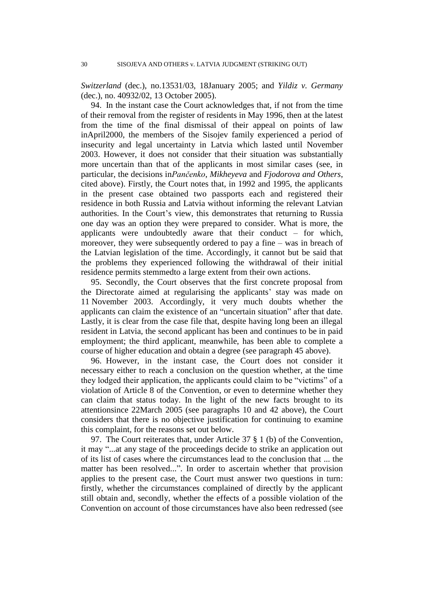*Switzerland* (dec.), no.13531/03, 18January 2005; and *Yildiz v. Germany* (dec.), no. 40932/02, 13 October 2005).

94.In the instant case the Court acknowledges that, if not from the time of their removal from the register of residents in May 1996, then at the latest from the time of the final dismissal of their appeal on points of law inApril2000, the members of the Sisojev family experienced a period of insecurity and legal uncertainty in Latvia which lasted until November 2003. However, it does not consider that their situation was substantially more uncertain than that of the applicants in most similar cases (see, in particular, the decisions in*Pančenko*, *Mikheyeva* and *Fjodorova and Others*, cited above). Firstly, the Court notes that, in 1992 and 1995, the applicants in the present case obtained two passports each and registered their residence in both Russia and Latvia without informing the relevant Latvian authorities. In the Court's view, this demonstrates that returning to Russia one day was an option they were prepared to consider. What is more, the applicants were undoubtedly aware that their conduct – for which, moreover, they were subsequently ordered to pay a fine – was in breach of the Latvian legislation of the time. Accordingly, it cannot but be said that the problems they experienced following the withdrawal of their initial residence permits stemmedto a large extent from their own actions.

95. Secondly, the Court observes that the first concrete proposal from the Directorate aimed at regularising the applicants' stay was made on 11 November 2003. Accordingly, it very much doubts whether the applicants can claim the existence of an "uncertain situation" after that date. Lastly, it is clear from the case file that, despite having long been an illegal resident in Latvia, the second applicant has been and continues to be in paid employment; the third applicant, meanwhile, has been able to complete a course of higher education and obtain a degree (see paragraph 45 above).

96. However, in the instant case, the Court does not consider it necessary either to reach a conclusion on the question whether, at the time they lodged their application, the applicants could claim to be "victims" of a violation of Article 8 of the Convention, or even to determine whether they can claim that status today. In the light of the new facts brought to its attentionsince 22March 2005 (see paragraphs 10 and 42 above), the Court considers that there is no objective justification for continuing to examine this complaint, for the reasons set out below.

97. The Court reiterates that, under Article 37 § 1 (b) of the Convention, it may "...at any stage of the proceedings decide to strike an application out of its list of cases where the circumstances lead to the conclusion that ... the matter has been resolved...". In order to ascertain whether that provision applies to the present case, the Court must answer two questions in turn: firstly, whether the circumstances complained of directly by the applicant still obtain and, secondly, whether the effects of a possible violation of the Convention on account of those circumstances have also been redressed (see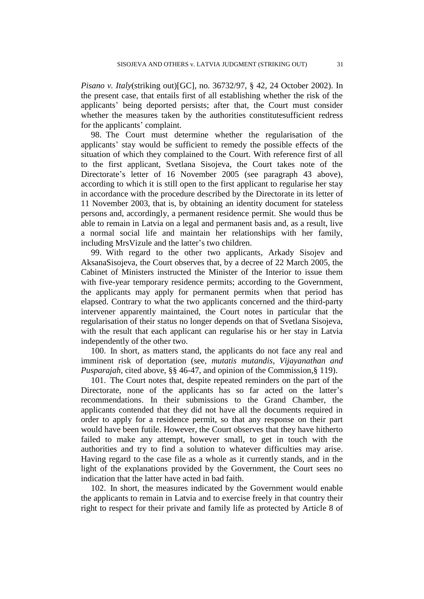*Pisano v. Italy*(striking out)[GC], no. 36732/97, § 42, 24 October 2002). In the present case, that entails first of all establishing whether the risk of the applicants" being deported persists; after that, the Court must consider whether the measures taken by the authorities constitutesufficient redress for the applicants' complaint.

98. The Court must determine whether the regularisation of the applicants" stay would be sufficient to remedy the possible effects of the situation of which they complained to the Court. With reference first of all to the first applicant, Svetlana Sisojeva, the Court takes note of the Directorate's letter of 16 November 2005 (see paragraph 43 above), according to which it is still open to the first applicant to regularise her stay in accordance with the procedure described by the Directorate in its letter of 11 November 2003, that is, by obtaining an identity document for stateless persons and, accordingly, a permanent residence permit. She would thus be able to remain in Latvia on a legal and permanent basis and, as a result, live a normal social life and maintain her relationships with her family, including MrsVizule and the latter's two children.

99. With regard to the other two applicants, Arkady Sisojev and AksanaSisojeva, the Court observes that, by a decree of 22 March 2005, the Cabinet of Ministers instructed the Minister of the Interior to issue them with five-year temporary residence permits; according to the Government, the applicants may apply for permanent permits when that period has elapsed. Contrary to what the two applicants concerned and the third-party intervener apparently maintained, the Court notes in particular that the regularisation of their status no longer depends on that of Svetlana Sisojeva, with the result that each applicant can regularise his or her stay in Latvia independently of the other two.

100. In short, as matters stand, the applicants do not face any real and imminent risk of deportation (see, *mutatis mutandis*, *Vijayanathan and Pusparajah*, cited above, §§ 46-47, and opinion of the Commission,§ 119).

101. The Court notes that, despite repeated reminders on the part of the Directorate, none of the applicants has so far acted on the latter's recommendations. In their submissions to the Grand Chamber, the applicants contended that they did not have all the documents required in order to apply for a residence permit, so that any response on their part would have been futile. However, the Court observes that they have hitherto failed to make any attempt, however small, to get in touch with the authorities and try to find a solution to whatever difficulties may arise. Having regard to the case file as a whole as it currently stands, and in the light of the explanations provided by the Government, the Court sees no indication that the latter have acted in bad faith.

102. In short, the measures indicated by the Government would enable the applicants to remain in Latvia and to exercise freely in that country their right to respect for their private and family life as protected by Article 8 of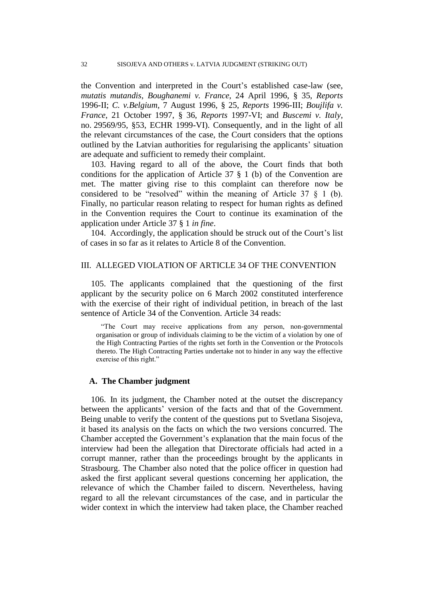the Convention and interpreted in the Court"s established case-law (see, *mutatis mutandis*, *Boughanemi v. France*, 24 April 1996, § 35, *Reports*  1996-II; *C. v.Belgium*, 7 August 1996, § 25, *Reports* 1996-III; *Boujlifa v. France*, 21 October 1997, § 36, *Reports* 1997-VI; and *Buscemi v. Italy*, no. 29569/95, §53, ECHR 1999-VI). Consequently, and in the light of all the relevant circumstances of the case, the Court considers that the options outlined by the Latvian authorities for regularising the applicants" situation are adequate and sufficient to remedy their complaint.

103. Having regard to all of the above, the Court finds that both conditions for the application of Article 37 § 1 (b) of the Convention are met. The matter giving rise to this complaint can therefore now be considered to be "resolved" within the meaning of Article  $37 \t{3} 1$  (b). Finally, no particular reason relating to respect for human rights as defined in the Convention requires the Court to continue its examination of the application under Article 37 § 1 *in fine*.

104. Accordingly, the application should be struck out of the Court's list of cases in so far as it relates to Article 8 of the Convention.

### III. ALLEGED VIOLATION OF ARTICLE 34 OF THE CONVENTION

105. The applicants complained that the questioning of the first applicant by the security police on 6 March 2002 constituted interference with the exercise of their right of individual petition, in breach of the last sentence of Article 34 of the Convention. Article 34 reads:

"The Court may receive applications from any person, non-governmental organisation or group of individuals claiming to be the victim of a violation by one of the High Contracting Parties of the rights set forth in the Convention or the Protocols thereto. The High Contracting Parties undertake not to hinder in any way the effective exercise of this right."

### **A. The Chamber judgment**

106. In its judgment, the Chamber noted at the outset the discrepancy between the applicants' version of the facts and that of the Government. Being unable to verify the content of the questions put to Svetlana Sisojeva, it based its analysis on the facts on which the two versions concurred. The Chamber accepted the Government's explanation that the main focus of the interview had been the allegation that Directorate officials had acted in a corrupt manner, rather than the proceedings brought by the applicants in Strasbourg. The Chamber also noted that the police officer in question had asked the first applicant several questions concerning her application, the relevance of which the Chamber failed to discern. Nevertheless, having regard to all the relevant circumstances of the case, and in particular the wider context in which the interview had taken place, the Chamber reached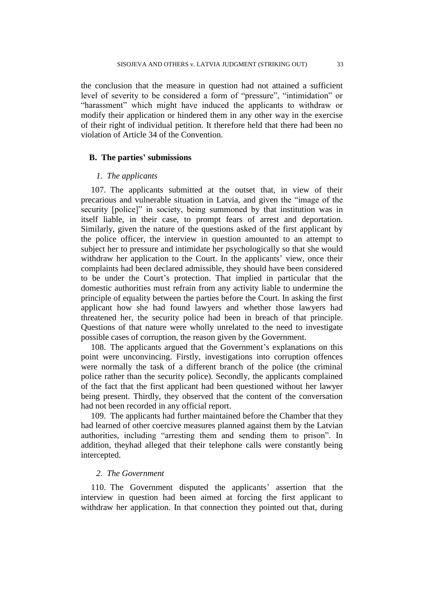the conclusion that the measure in question had not attained a sufficient level of severity to be considered a form of "pressure", "intimidation" or "harassment" which might have induced the applicants to withdraw or modify their application or hindered them in any other way in the exercise of their right of individual petition. It therefore held that there had been no violation of Article 34 of the Convention.

### **B. The parties' submissions**

### *1. The applicants*

107. The applicants submitted at the outset that, in view of their precarious and vulnerable situation in Latvia, and given the "image of the security [police]" in society, being summoned by that institution was in itself liable, in their case, to prompt fears of arrest and deportation. Similarly, given the nature of the questions asked of the first applicant by the police officer, the interview in question amounted to an attempt to subject her to pressure and intimidate her psychologically so that she would withdraw her application to the Court. In the applicants' view, once their complaints had been declared admissible, they should have been considered to be under the Court"s protection. That implied in particular that the domestic authorities must refrain from any activity liable to undermine the principle of equality between the parties before the Court. In asking the first applicant how she had found lawyers and whether those lawyers had threatened her, the security police had been in breach of that principle. Questions of that nature were wholly unrelated to the need to investigate possible cases of corruption, the reason given by the Government.

108. The applicants argued that the Government's explanations on this point were unconvincing. Firstly, investigations into corruption offences were normally the task of a different branch of the police (the criminal police rather than the security police). Secondly, the applicants complained of the fact that the first applicant had been questioned without her lawyer being present. Thirdly, they observed that the content of the conversation had not been recorded in any official report.

109. The applicants had further maintained before the Chamber that they had learned of other coercive measures planned against them by the Latvian authorities, including "arresting them and sending them to prison". In addition, theyhad alleged that their telephone calls were constantly being intercepted.

### *2. The Government*

110. The Government disputed the applicants' assertion that the interview in question had been aimed at forcing the first applicant to withdraw her application. In that connection they pointed out that, during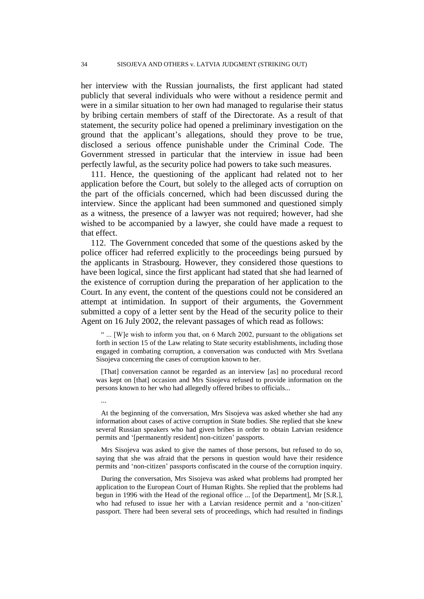her interview with the Russian journalists, the first applicant had stated publicly that several individuals who were without a residence permit and were in a similar situation to her own had managed to regularise their status by bribing certain members of staff of the Directorate. As a result of that statement, the security police had opened a preliminary investigation on the ground that the applicant"s allegations, should they prove to be true, disclosed a serious offence punishable under the Criminal Code. The Government stressed in particular that the interview in issue had been perfectly lawful, as the security police had powers to take such measures.

111. Hence, the questioning of the applicant had related not to her application before the Court, but solely to the alleged acts of corruption on the part of the officials concerned, which had been discussed during the interview. Since the applicant had been summoned and questioned simply as a witness, the presence of a lawyer was not required; however, had she wished to be accompanied by a lawyer, she could have made a request to that effect.

112. The Government conceded that some of the questions asked by the police officer had referred explicitly to the proceedings being pursued by the applicants in Strasbourg. However, they considered those questions to have been logical, since the first applicant had stated that she had learned of the existence of corruption during the preparation of her application to the Court. In any event, the content of the questions could not be considered an attempt at intimidation. In support of their arguments, the Government submitted a copy of a letter sent by the Head of the security police to their Agent on 16 July 2002, the relevant passages of which read as follows:

" ... [W]e wish to inform you that, on 6 March 2002, pursuant to the obligations set forth in section 15 of the Law relating to State security establishments, including those engaged in combating corruption, a conversation was conducted with Mrs Svetlana Sisojeva concerning the cases of corruption known to her.

[That] conversation cannot be regarded as an interview [as] no procedural record was kept on [that] occasion and Mrs Sisojeva refused to provide information on the persons known to her who had allegedly offered bribes to officials...

...

At the beginning of the conversation, Mrs Sisojeva was asked whether she had any information about cases of active corruption in State bodies. She replied that she knew several Russian speakers who had given bribes in order to obtain Latvian residence permits and '[permanently resident] non-citizen' passports.

Mrs Sisojeva was asked to give the names of those persons, but refused to do so, saying that she was afraid that the persons in question would have their residence permits and "non-citizen" passports confiscated in the course of the corruption inquiry.

During the conversation, Mrs Sisojeva was asked what problems had prompted her application to the European Court of Human Rights. She replied that the problems had begun in 1996 with the Head of the regional office ... [of the Department], Mr [S.R.], who had refused to issue her with a Latvian residence permit and a 'non-citizen' passport. There had been several sets of proceedings, which had resulted in findings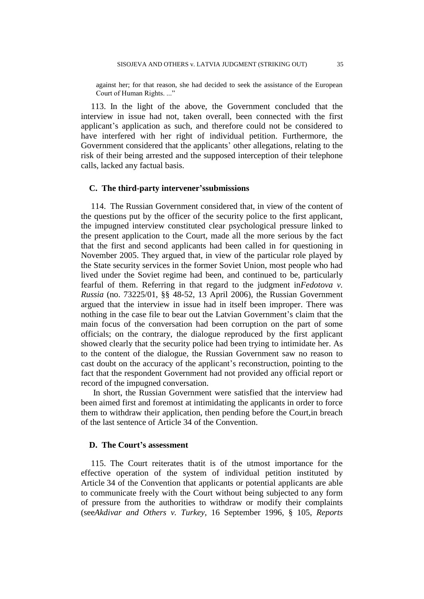against her; for that reason, she had decided to seek the assistance of the European Court of Human Rights. ..."

113. In the light of the above, the Government concluded that the interview in issue had not, taken overall, been connected with the first applicant"s application as such, and therefore could not be considered to have interfered with her right of individual petition. Furthermore, the Government considered that the applicants' other allegations, relating to the risk of their being arrested and the supposed interception of their telephone calls, lacked any factual basis.

### **C. The third-party intervener'ssubmissions**

114. The Russian Government considered that, in view of the content of the questions put by the officer of the security police to the first applicant, the impugned interview constituted clear psychological pressure linked to the present application to the Court, made all the more serious by the fact that the first and second applicants had been called in for questioning in November 2005. They argued that, in view of the particular role played by the State security services in the former Soviet Union, most people who had lived under the Soviet regime had been, and continued to be, particularly fearful of them. Referring in that regard to the judgment in*Fedotova v. Russia* (no. 73225/01, §§ 48-52, 13 April 2006), the Russian Government argued that the interview in issue had in itself been improper. There was nothing in the case file to bear out the Latvian Government's claim that the main focus of the conversation had been corruption on the part of some officials; on the contrary, the dialogue reproduced by the first applicant showed clearly that the security police had been trying to intimidate her. As to the content of the dialogue, the Russian Government saw no reason to cast doubt on the accuracy of the applicant"s reconstruction, pointing to the fact that the respondent Government had not provided any official report or record of the impugned conversation.

In short, the Russian Government were satisfied that the interview had been aimed first and foremost at intimidating the applicants in order to force them to withdraw their application, then pending before the Court,in breach of the last sentence of Article 34 of the Convention.

### **D. The Court's assessment**

115. The Court reiterates thatit is of the utmost importance for the effective operation of the system of individual petition instituted by Article 34 of the Convention that applicants or potential applicants are able to communicate freely with the Court without being subjected to any form of pressure from the authorities to withdraw or modify their complaints (see*Akdivar and Others v. Turkey*, 16 September 1996, § 105, *Reports*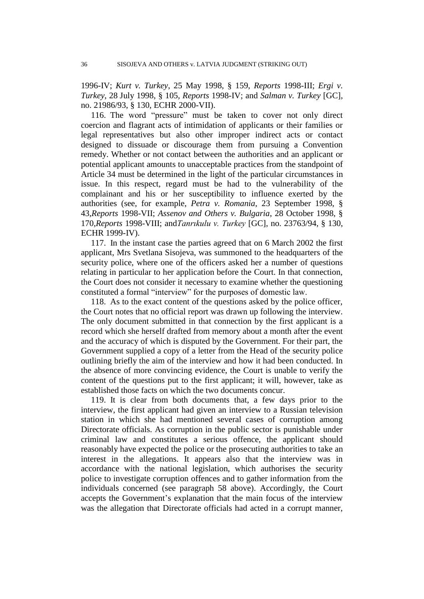1996-IV; *Kurt v. Turkey*, 25 May 1998, § 159, *Reports* 1998-III; *Ergi v. Turkey*, 28 July 1998, § 105, *Reports* 1998-IV; and *Salman v. Turkey* [GC], no. 21986/93, § 130, ECHR 2000-VII).

116. The word "pressure" must be taken to cover not only direct coercion and flagrant acts of intimidation of applicants or their families or legal representatives but also other improper indirect acts or contact designed to dissuade or discourage them from pursuing a Convention remedy. Whether or not contact between the authorities and an applicant or potential applicant amounts to unacceptable practices from the standpoint of Article 34 must be determined in the light of the particular circumstances in issue. In this respect, regard must be had to the vulnerability of the complainant and his or her susceptibility to influence exerted by the authorities (see, for example, *Petra v. Romania*, 23 September 1998, § 43,*Reports* 1998-VII; *Assenov and Others v. Bulgaria*, 28 October 1998, § 170,*Reports* 1998-VIII; and*Tanrıkulu v. Turkey* [GC], no. 23763/94, § 130, ECHR 1999-IV).

117. In the instant case the parties agreed that on 6 March 2002 the first applicant, Mrs Svetlana Sisojeva, was summoned to the headquarters of the security police, where one of the officers asked her a number of questions relating in particular to her application before the Court. In that connection, the Court does not consider it necessary to examine whether the questioning constituted a formal "interview" for the purposes of domestic law.

118. As to the exact content of the questions asked by the police officer, the Court notes that no official report was drawn up following the interview. The only document submitted in that connection by the first applicant is a record which she herself drafted from memory about a month after the event and the accuracy of which is disputed by the Government. For their part, the Government supplied a copy of a letter from the Head of the security police outlining briefly the aim of the interview and how it had been conducted. In the absence of more convincing evidence, the Court is unable to verify the content of the questions put to the first applicant; it will, however, take as established those facts on which the two documents concur.

119. It is clear from both documents that, a few days prior to the interview, the first applicant had given an interview to a Russian television station in which she had mentioned several cases of corruption among Directorate officials. As corruption in the public sector is punishable under criminal law and constitutes a serious offence, the applicant should reasonably have expected the police or the prosecuting authorities to take an interest in the allegations. It appears also that the interview was in accordance with the national legislation, which authorises the security police to investigate corruption offences and to gather information from the individuals concerned (see paragraph 58 above). Accordingly, the Court accepts the Government's explanation that the main focus of the interview was the allegation that Directorate officials had acted in a corrupt manner,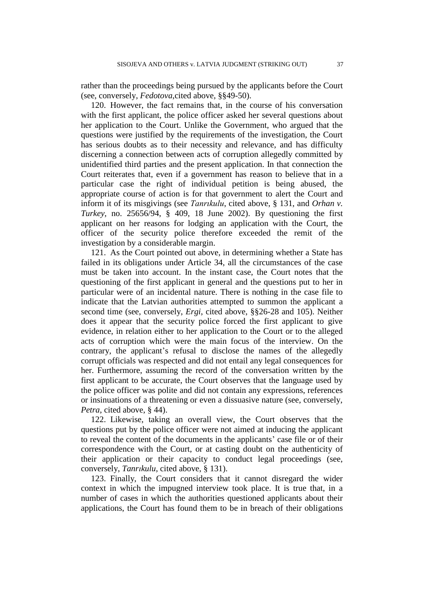rather than the proceedings being pursued by the applicants before the Court (see, conversely, *Fedotova*,cited above, §§49-50).

120. However, the fact remains that, in the course of his conversation with the first applicant, the police officer asked her several questions about her application to the Court. Unlike the Government, who argued that the questions were justified by the requirements of the investigation, the Court has serious doubts as to their necessity and relevance, and has difficulty discerning a connection between acts of corruption allegedly committed by unidentified third parties and the present application. In that connection the Court reiterates that, even if a government has reason to believe that in a particular case the right of individual petition is being abused, the appropriate course of action is for that government to alert the Court and inform it of its misgivings (see *Tanrıkulu*, cited above, § 131, and *Orhan v. Turkey*, no. 25656/94, § 409, 18 June 2002). By questioning the first applicant on her reasons for lodging an application with the Court, the officer of the security police therefore exceeded the remit of the investigation by a considerable margin.

121. As the Court pointed out above, in determining whether a State has failed in its obligations under Article 34, all the circumstances of the case must be taken into account. In the instant case, the Court notes that the questioning of the first applicant in general and the questions put to her in particular were of an incidental nature. There is nothing in the case file to indicate that the Latvian authorities attempted to summon the applicant a second time (see, conversely, *Ergi*, cited above, §§26-28 and 105). Neither does it appear that the security police forced the first applicant to give evidence, in relation either to her application to the Court or to the alleged acts of corruption which were the main focus of the interview. On the contrary, the applicant's refusal to disclose the names of the allegedly corrupt officials was respected and did not entail any legal consequences for her. Furthermore, assuming the record of the conversation written by the first applicant to be accurate, the Court observes that the language used by the police officer was polite and did not contain any expressions, references or insinuations of a threatening or even a dissuasive nature (see, conversely, *Petra*, cited above, § 44).

122. Likewise, taking an overall view, the Court observes that the questions put by the police officer were not aimed at inducing the applicant to reveal the content of the documents in the applicants' case file or of their correspondence with the Court, or at casting doubt on the authenticity of their application or their capacity to conduct legal proceedings (see, conversely, *Tanrıkulu*, cited above, § 131).

123. Finally, the Court considers that it cannot disregard the wider context in which the impugned interview took place. It is true that, in a number of cases in which the authorities questioned applicants about their applications, the Court has found them to be in breach of their obligations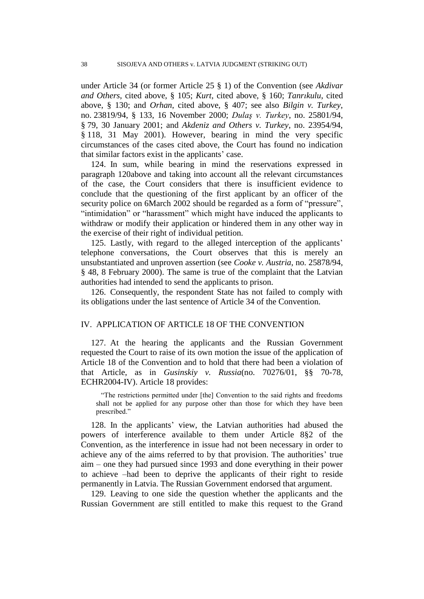under Article 34 (or former Article 25 § 1) of the Convention (see *Akdivar and Others*, cited above, § 105; *Kurt*, cited above, § 160; *Tanrıkulu*, cited above, § 130; and *Orhan*, cited above, § 407; see also *Bilgin v. Turkey*, no. 23819/94, § 133, 16 November 2000; *Dulaş v. Turkey*, no. 25801/94, § 79, 30 January 2001; and *Akdeniz and Others v. Turkey*, no. 23954/94, § 118, 31 May 2001). However, bearing in mind the very specific circumstances of the cases cited above, the Court has found no indication that similar factors exist in the applicants' case.

124. In sum, while bearing in mind the reservations expressed in paragraph 120above and taking into account all the relevant circumstances of the case, the Court considers that there is insufficient evidence to conclude that the questioning of the first applicant by an officer of the security police on 6March 2002 should be regarded as a form of "pressure", "intimidation" or "harassment" which might have induced the applicants to withdraw or modify their application or hindered them in any other way in the exercise of their right of individual petition.

125. Lastly, with regard to the alleged interception of the applicants' telephone conversations, the Court observes that this is merely an unsubstantiated and unproven assertion (see *Cooke v. Austria*, no. 25878/94, § 48, 8 February 2000). The same is true of the complaint that the Latvian authorities had intended to send the applicants to prison.

126. Consequently, the respondent State has not failed to comply with its obligations under the last sentence of Article 34 of the Convention.

### IV. APPLICATION OF ARTICLE 18 OF THE CONVENTION

127. At the hearing the applicants and the Russian Government requested the Court to raise of its own motion the issue of the application of Article 18 of the Convention and to hold that there had been a violation of that Article, as in *Gusinskiy v. Russia*(no. 70276/01, §§ 70-78, ECHR2004-IV). Article 18 provides:

"The restrictions permitted under [the] Convention to the said rights and freedoms shall not be applied for any purpose other than those for which they have been prescribed."

128. In the applicants" view, the Latvian authorities had abused the powers of interference available to them under Article 8§2 of the Convention, as the interference in issue had not been necessary in order to achieve any of the aims referred to by that provision. The authorities' true aim – one they had pursued since 1993 and done everything in their power to achieve –had been to deprive the applicants of their right to reside permanently in Latvia. The Russian Government endorsed that argument.

129. Leaving to one side the question whether the applicants and the Russian Government are still entitled to make this request to the Grand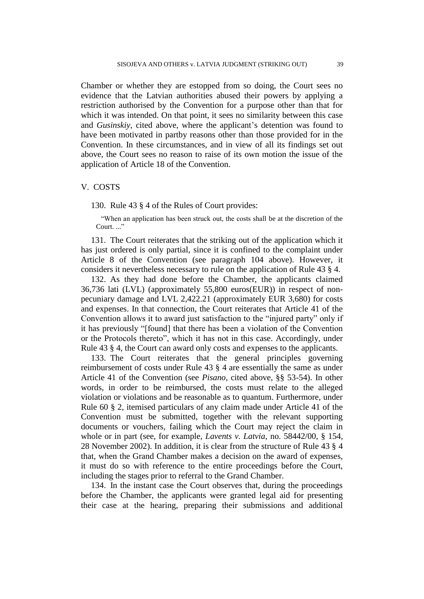Chamber or whether they are estopped from so doing, the Court sees no evidence that the Latvian authorities abused their powers by applying a restriction authorised by the Convention for a purpose other than that for which it was intended. On that point, it sees no similarity between this case and *Gusinskiy*, cited above, where the applicant's detention was found to have been motivated in partby reasons other than those provided for in the Convention. In these circumstances, and in view of all its findings set out above, the Court sees no reason to raise of its own motion the issue of the application of Article 18 of the Convention.

### V. COSTS

130. Rule 43 § 4 of the Rules of Court provides:

"When an application has been struck out, the costs shall be at the discretion of the Court. ..."

131. The Court reiterates that the striking out of the application which it has just ordered is only partial, since it is confined to the complaint under Article 8 of the Convention (see paragraph 104 above). However, it considers it nevertheless necessary to rule on the application of Rule 43 § 4.

132. As they had done before the Chamber, the applicants claimed 36,736 lati (LVL) (approximately 55,800 euros(EUR)) in respect of nonpecuniary damage and LVL 2,422.21 (approximately EUR 3,680) for costs and expenses. In that connection, the Court reiterates that Article 41 of the Convention allows it to award just satisfaction to the "injured party" only if it has previously "[found] that there has been a violation of the Convention or the Protocols thereto", which it has not in this case. Accordingly, under Rule 43 § 4, the Court can award only costs and expenses to the applicants.

133. The Court reiterates that the general principles governing reimbursement of costs under Rule 43 § 4 are essentially the same as under Article 41 of the Convention (see *Pisano*, cited above, §§ 53-54). In other words, in order to be reimbursed, the costs must relate to the alleged violation or violations and be reasonable as to quantum. Furthermore, under Rule 60 § 2, itemised particulars of any claim made under Article 41 of the Convention must be submitted, together with the relevant supporting documents or vouchers, failing which the Court may reject the claim in whole or in part (see, for example, *Lavents v. Latvia*, no. 58442/00, § 154, 28 November 2002). In addition, it is clear from the structure of Rule 43 § 4 that, when the Grand Chamber makes a decision on the award of expenses, it must do so with reference to the entire proceedings before the Court, including the stages prior to referral to the Grand Chamber.

134. In the instant case the Court observes that, during the proceedings before the Chamber, the applicants were granted legal aid for presenting their case at the hearing, preparing their submissions and additional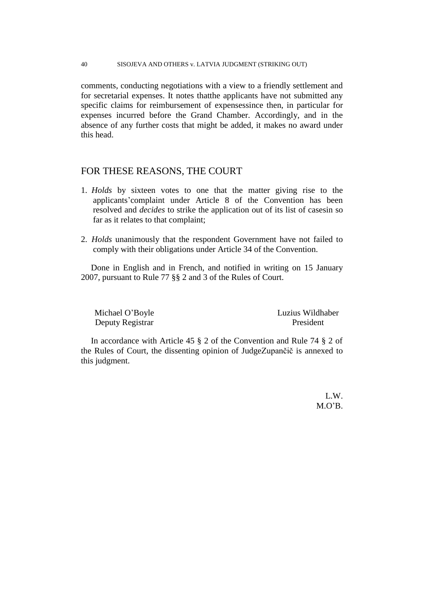### 40 SISOJEVA AND OTHERS v. LATVIA JUDGMENT (STRIKING OUT)

comments, conducting negotiations with a view to a friendly settlement and for secretarial expenses. It notes thatthe applicants have not submitted any specific claims for reimbursement of expensessince then, in particular for expenses incurred before the Grand Chamber. Accordingly, and in the absence of any further costs that might be added, it makes no award under this head.

## FOR THESE REASONS, THE COURT

- 1. *Holds* by sixteen votes to one that the matter giving rise to the applicants"complaint under Article 8 of the Convention has been resolved and *decides* to strike the application out of its list of casesin so far as it relates to that complaint;
- 2. *Holds* unanimously that the respondent Government have not failed to comply with their obligations under Article 34 of the Convention.

Done in English and in French, and notified in writing on 15 January 2007, pursuant to Rule 77 §§ 2 and 3 of the Rules of Court.

Deputy Registrar President

Michael O"Boyle Luzius Wildhaber

In accordance with Article 45 § 2 of the Convention and Rule 74 § 2 of the Rules of Court, the dissenting opinion of JudgeZupančič is annexed to this judgment.

> L.W.  $M.O'B$ .